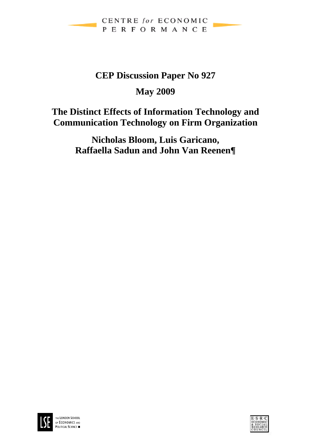

# **CEP Discussion Paper No 927**

# **May 2009**

# **The Distinct Effects of Information Technology and Communication Technology on Firm Organization**

**Nicholas Bloom, Luis Garicano, Raffaella Sadun and John Van Reenen¶** 



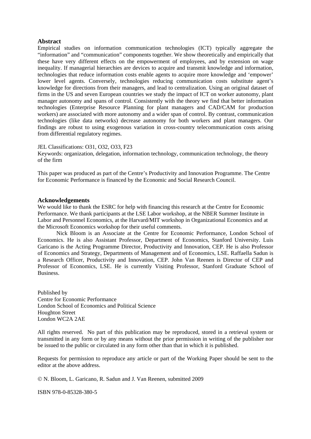#### **Abstract**

Empirical studies on information communication technologies (ICT) typically aggregate the "information" and "communication" components together. We show theoretically and empirically that these have very different effects on the empowerment of employees, and by extension on wage inequality. If managerial hierarchies are devices to acquire and transmit knowledge and information, technologies that reduce information costs enable agents to acquire more knowledge and 'empower' lower level agents. Conversely, technologies reducing communication costs substitute agent's knowledge for directions from their managers, and lead to centralization. Using an original dataset of firms in the US and seven European countries we study the impact of ICT on worker autonomy, plant manager autonomy and spans of control. Consistently with the theory we find that better information technologies (Enterprise Resource Planning for plant managers and CAD/CAM for production workers) are associated with more autonomy and a wider span of control. By contrast, communication technologies (like data networks) decrease autonomy for both workers and plant managers. Our findings are robust to using exogenous variation in cross-country telecommunication costs arising from differential regulatory regimes.

#### JEL Classifications: O31, O32, O33, F23

Keywords: organization, delegation, information technology, communication technology, the theory of the firm

This paper was produced as part of the Centre's Productivity and Innovation Programme. The Centre for Economic Performance is financed by the Economic and Social Research Council.

#### **Acknowledgements**

We would like to thank the ESRC for help with financing this research at the Centre for Economic Performance. We thank participants at the LSE Labor workshop, at the NBER Summer Institute in Labor and Personnel Economics, at the Harvard/MIT workshop in Organizational Economics and at the Microsoft Economics workshop for their useful comments.

Nick Bloom is an Associate at the Centre for Economic Performance, London School of Economics. He is also Assistant Professor, Department of Economics, Stanford University. Luis Garicano is the Acting Programme Director, Productivity and Innovation, CEP. He is also Professor of Economics and Strategy, Departments of Management and of Economics, LSE. Raffaella Sadun is a Research Officer, Productivity and Innovation, CEP. John Van Reenen is Director of CEP and Professor of Economics, LSE. He is currently Visiting Professor, Stanford Graduate School of Business.

Published by Centre for Economic Performance London School of Economics and Political Science Houghton Street London WC2A 2AE

All rights reserved. No part of this publication may be reproduced, stored in a retrieval system or transmitted in any form or by any means without the prior permission in writing of the publisher nor be issued to the public or circulated in any form other than that in which it is published.

Requests for permission to reproduce any article or part of the Working Paper should be sent to the editor at the above address.

© N. Bloom, L. Garicano, R. Sadun and J. Van Reenen, submitted 2009

ISBN 978-0-85328-380-5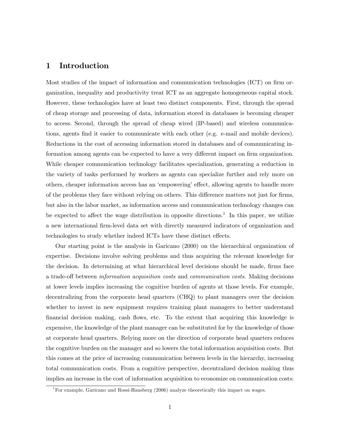## 1 Introduction

Most studies of the impact of information and communication technologies (ICT) on firm organization, inequality and productivity treat ICT as an aggregate homogeneous capital stock. However, these technologies have at least two distinct components. First, through the spread of cheap storage and processing of data, information stored in databases is becoming cheaper to access. Second, through the spread of cheap wired (IP-based) and wireless communications, agents find it easier to communicate with each other (e.g. e-mail and mobile devices). Reductions in the cost of accessing information stored in databases and of communicating information among agents can be expected to have a very different impact on firm organization. While cheaper communication technology facilitates specialization, generating a reduction in the variety of tasks performed by workers as agents can specialize further and rely more on others, cheaper information access has an 'empowering' effect, allowing agents to handle more of the problems they face without relying on others. This difference matters not just for firms, but also in the labor market, as information access and communication technology changes can be expected to affect the wage distribution in opposite directions.<sup>1</sup> In this paper, we utilize a new international firm-level data set with directly measured indicators of organization and technologies to study whether indeed ICTs have these distinct effects.

Our starting point is the analysis in Garicano (2000) on the hierarchical organization of expertise. Decisions involve solving problems and thus acquiring the relevant knowledge for the decision. In determining at what hierarchical level decisions should be made, firms face a trade-off between information acquisition costs and communication costs. Making decisions at lower levels implies increasing the cognitive burden of agents at those levels. For example, decentralizing from the corporate head quarters (CHQ) to plant managers over the decision whether to invest in new equipment requires training plant managers to better understand financial decision making, cash flows, etc. To the extent that acquiring this knowledge is expensive, the knowledge of the plant manager can be substituted for by the knowledge of those at corporate head quarters. Relying more on the direction of corporate head quarters reduces the cognitive burden on the manager and so lowers the total information acquisition costs. But this comes at the price of increasing communication between levels in the hierarchy, increasing total communication costs. From a cognitive perspective, decentralized decision making thus implies an increase in the cost of information acquisition to economize on communication costs:

<sup>&</sup>lt;sup>1</sup>For example, Garicano and Rossi-Hansberg (2006) analyze theoretically this impact on wages.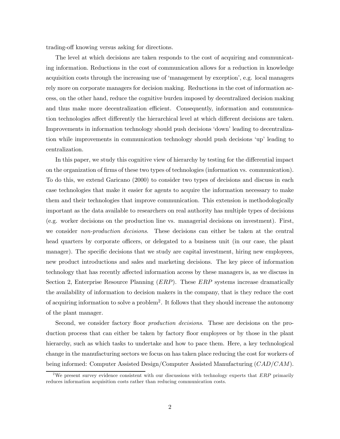trading-off knowing versus asking for directions.

The level at which decisions are taken responds to the cost of acquiring and communicating information. Reductions in the cost of communication allows for a reduction in knowledge acquisition costs through the increasing use of 'management by exception', e.g. local managers rely more on corporate managers for decision making. Reductions in the cost of information access, on the other hand, reduce the cognitive burden imposed by decentralized decision making and thus make more decentralization efficient. Consequently, information and communication technologies affect differently the hierarchical level at which different decisions are taken. Improvements in information technology should push decisions 'down' leading to decentralization while improvements in communication technology should push decisions 'up' leading to centralization.

In this paper, we study this cognitive view of hierarchy by testing for the differential impact on the organization of firms of these two types of technologies (information vs. communication). To do this, we extend Garicano (2000) to consider two types of decisions and discuss in each case technologies that make it easier for agents to acquire the information necessary to make them and their technologies that improve communication. This extension is methodologically important as the data available to researchers on real authority has multiple types of decisions (e.g. worker decisions on the production line vs. managerial decisions on investment). First, we consider *non-production decisions*. These decisions can either be taken at the central head quarters by corporate officers, or delegated to a business unit (in our case, the plant manager). The specific decisions that we study are capital investment, hiring new employees, new product introductions and sales and marketing decisions. The key piece of information technology that has recently affected information access by these managers is, as we discuss in Section 2, Enterprise Resource Planning (*ERP*). These *ERP* systems increase dramatically the availability of information to decision makers in the company, that is they reduce the cost of acquiring information to solve a problem2. It follows that they should increase the autonomy of the plant manager.

Second, we consider factory floor production decisions. These are decisions on the production process that can either be taken by factory floor employees or by those in the plant hierarchy, such as which tasks to undertake and how to pace them. Here, a key technological change in the manufacturing sectors we focus on has taken place reducing the cost for workers of being informed: Computer Assisted Design/Computer Assisted Manufacturing (CAD/CAM).

<sup>&</sup>lt;sup>2</sup>We present survey evidence consistent with our discussions with technology experts that  $ERP$  primarily reduces information acquisition costs rather than reducing communication costs.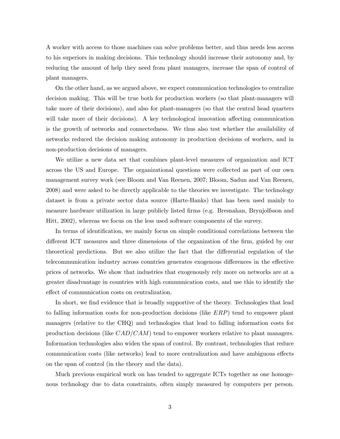A worker with access to those machines can solve problems better, and thus needs less access to his superiors in making decisions. This technology should increase their autonomy and, by reducing the amount of help they need from plant managers, increase the span of control of plant managers.

On the other hand, as we argued above, we expect communication technologies to centralize decision making. This will be true both for production workers (so that plant-managers will take more of their decisions), and also for plant-managers (so that the central head quarters will take more of their decisions). A key technological innovation affecting communication is the growth of networks and connectedness. We thus also test whether the availability of networks reduced the decision making autonomy in production decisions of workers, and in non-production decisions of managers.

We utilize a new data set that combines plant-level measures of organization and ICT across the US and Europe. The organizational questions were collected as part of our own management survey work (see Bloom and Van Reenen, 2007; Bloom, Sadun and Van Reenen, 2008) and were asked to be directly applicable to the theories we investigate. The technology dataset is from a private sector data source (Harte-Hanks) that has been used mainly to measure hardware utilization in large publicly listed firms (e.g. Bresnahan, Brynjolfsson and Hitt, 2002), whereas we focus on the less used software components of the survey.

In terms of identification, we mainly focus on simple conditional correlations between the different ICT measures and three dimensions of the organization of the firm, guided by our theoretical predictions. But we also utilize the fact that the differential regulation of the telecommunication industry across countries generates exogenous differences in the effective prices of networks. We show that industries that exogenously rely more on networks are at a greater disadvantage in countries with high communication costs, and use this to identify the effect of communication costs on centralization.

In short, we find evidence that is broadly supportive of the theory. Technologies that lead to falling information costs for non-production decisions (like ERP) tend to empower plant managers (relative to the CHQ) and technologies that lead to falling information costs for production decisions (like  $CAD/CAM$ ) tend to empower workers relative to plant managers. Information technologies also widen the span of control. By contrast, technologies that reduce communication costs (like networks) lead to more centralization and have ambiguous effects on the span of control (in the theory and the data).

Much previous empirical work on has tended to aggregate ICTs together as one homogenous technology due to data constraints, often simply measured by computers per person.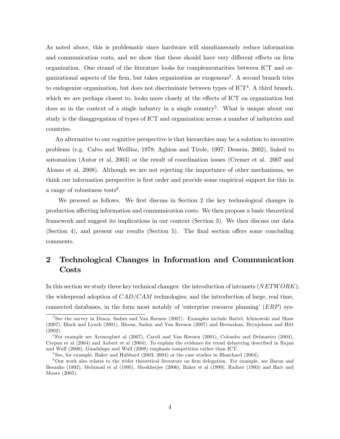As noted above, this is problematic since hardware will simultaneously reduce information and communication costs, and we show that these should have very different effects on firm organization. One strand of the literature looks for complementarities between ICT and organizational aspects of the firm, but takes organization as exogenous3. A second branch tries to endogenize organization, but does not discriminate between types of  $\mathrm{ICT}^4$ . A third branch, which we are perhaps closest to, looks more closely at the effects of ICT on organization but does so in the context of a single industry in a single country5. What is unique about our study is the disaggregation of types of ICT and organization across a number of industries and countries.

An alternative to our cognitive perspective is that hierarchies may be a solution to incentive problems (e.g. Calvo and Weillisz, 1978; Aghion and Tirole, 1997; Dessein, 2002), linked to automation (Autor et al, 2003) or the result of coordination issues (Cremer et al. 2007 and Alonso et al, 2008). Although we are not rejecting the importance of other mechanisms, we think our information perspective is first order and provide some empirical support for this in a range of robustness tests<sup>6</sup>.

We proceed as follows. We first discuss in Section 2 the key technological changes in production affecting information and communication costs. We then propose a basic theoretical framework and suggest its implications in our context (Section 3). We then discuss our data (Section 4), and present our results (Section 5). The final section offers some concluding comments.

# 2 Technological Changes in Information and Communication Costs

In this section we study three key technical changes: the introduction of intranets  $(NETWORK)$ ; the widespread adoption of  $CAD/CAM$  technologies; and the introduction of large, real time, connected databases, in the form most notably of 'enterprise resource planning'  $(ERP)$  sys-

<sup>3</sup>See the survey in Draca, Sadun and Van Reenen (2007). Examples include Bartel, Ichinowski and Shaw (2007), Black and Lynch (2001), Bloom, Sadun and Van Reenen (2007) and Bresnahan, Brynjolsson and Hitt (2002).

<sup>4</sup>For example see Acemogluet al (2007), Caroli and Van Reenen (2001), Colombo and Delmastro (2004), Crepon et al (2004) and Aubert et al (2004). To explain the evidence for trend delayering described in Rajan and Wulf (2006), Guadalupe and Wulf (2008) emphasis competition rather than ICT.

 $5$ See, for example, Baker and Hubbard (2003, 2004) or the case studies in Blanchard (2004).

 $6$ Our work also relates to the wider theoretical literature on firm delegation. For example, see Baron and Besanko (1992), Melumad et al (1995), Mookherjee (2006), Baker et al (1999), Radner (1993) and Hart and Moore (2005).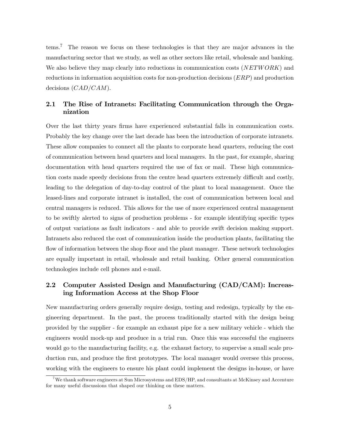tems.7 The reason we focus on these technologies is that they are major advances in the manufacturing sector that we study, as well as other sectors like retail, wholesale and banking. We also believe they map clearly into reductions in communication costs (NETWORK) and reductions in information acquisition costs for non-production decisions (ERP) and production decisions  $(CAD/CAM)$ .

## 2.1 The Rise of Intranets: Facilitating Communication through the Organization

Over the last thirty years firms have experienced substantial falls in communication costs. Probably the key change over the last decade has been the introduction of corporate intranets. These allow companies to connect all the plants to corporate head quarters, reducing the cost of communication between head quarters and local managers. In the past, for example, sharing documentation with head quarters required the use of fax or mail. These high communication costs made speedy decisions from the centre head quarters extremely difficult and costly, leading to the delegation of day-to-day control of the plant to local management. Once the leased-lines and corporate intranet is installed, the cost of communication between local and central managers is reduced. This allows for the use of more experienced central management to be swiftly alerted to signs of production problems - for example identifying specific types of output variations as fault indicators - and able to provide swift decision making support. Intranets also reduced the cost of communication inside the production plants, facilitating the flow of information between the shop floor and the plant manager. These network technologies are equally important in retail, wholesale and retail banking. Other general communication technologies include cell phones and e-mail.

# 2.2 Computer Assisted Design and Manufacturing (CAD/CAM): Increasing Information Access at the Shop Floor

New manufacturing orders generally require design, testing and redesign, typically by the engineering department. In the past, the process traditionally started with the design being provided by the supplier - for example an exhaust pipe for a new military vehicle - which the engineers would mock-up and produce in a trial run. Once this was successful the engineers would go to the manufacturing facility, e.g. the exhaust factory, to supervise a small scale production run, and produce the first prototypes. The local manager would oversee this process, working with the engineers to ensure his plant could implement the designs in-house, or have

<sup>&</sup>lt;sup>7</sup>We thank software engineers at Sun Microsystems and EDS/HP, and consultants at McKinsey and Accenture for many useful discussions that shaped our thinking on these matters.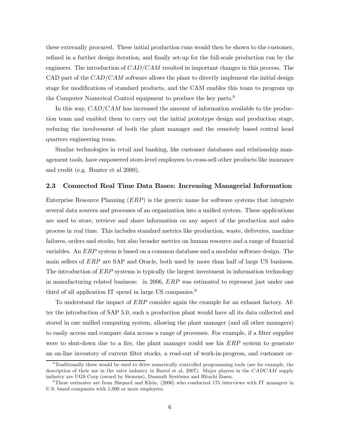these externally procured. These initial production runs would then be shown to the customer, refined in a further design iteration, and finally set-up for the full-scale production run by the engineers. The introduction of  $CAD/CAM$  resulted in important changes in this process. The CAD part of the  $CAD/CAM$  software allows the plant to directly implement the initial design stage for modifications of standard products, and the CAM enables this team to program up the Computer Numerical Control equipment to produce the key parts.<sup>8</sup>

In this way,  $CAD/CAM$  has increased the amount of information available to the production team and enabled them to carry out the initial prototype design and production stage, reducing the involvement of both the plant manager and the remotely based central head quarters engineering team.

Similar technologies in retail and banking, like customer databases and relationship management tools, have empowered store-level employees to cross-sell other products like insurance and credit (e.g. Hunter et al 2000).

#### 2.3 Connected Real Time Data Bases: Increasing Managerial Information

Enterprise Resource Planning (ERP) is the generic name for software systems that integrate several data sources and processes of an organization into a unified system. These applications are used to store, retrieve and share information on any aspect of the production and sales process in real time. This includes standard metrics like production, waste, deliveries, machine failures, orders and stocks, but also broader metrics on human resource and a range of financial variables. An ERP system is based on a common database and a modular software design. The main sellers of ERP are SAP and Oracle, both used by more than half of large US business. The introduction of ERP systems is typically the largest investment in information technology in manufacturing related business: in 2006, ERP was estimated to represent just under one third of all application IT spend in large US companies.<sup>9</sup>

To understand the impact of ERP consider again the example for an exhaust factory. After the introduction of SAP 5.0, such a production plant would have all its data collected and stored in one unified computing system, allowing the plant manager (and all other managers) to easily access and compare data across a range of processes. For example, if a filter supplier were to shut-down due to a fire, the plant manager could use his ERP system to generate an on-line inventory of current filter stocks, a read-out of work-in-progress, and customer or-

<sup>8</sup>Traditionally these would be used to drive numerically controlled programming tools (see for example, the description of their use in the valve industry in Bartel et al, 2007). Major players in the CADCAM supply industry are UGS Corp (owned by Siemens), Dassault Systèmes and Hitachi Zosen.

 $9$ These estimates are from Shepard and Klein, (2006) who conducted 175 interviews with IT managers in U.S. based companies with 1,000 or more employees.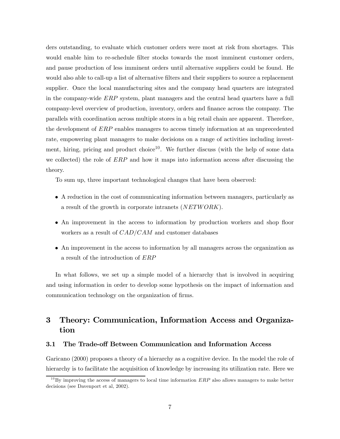ders outstanding, to evaluate which customer orders were most at risk from shortages. This would enable him to re-schedule filter stocks towards the most imminent customer orders, and pause production of less imminent orders until alternative suppliers could be found. He would also able to call-up a list of alternative filters and their suppliers to source a replacement supplier. Once the local manufacturing sites and the company head quarters are integrated in the company-wide ERP system, plant managers and the central head quarters have a full company-level overview of production, inventory, orders and finance across the company. The parallels with coordination across multiple stores in a big retail chain are apparent. Therefore, the development of ERP enables managers to access timely information at an unprecedented rate, empowering plant managers to make decisions on a range of activities including investment, hiring, pricing and product choice<sup>10</sup>. We further discuss (with the help of some data we collected) the role of  $ERP$  and how it maps into information access after discussing the theory.

To sum up, three important technological changes that have been observed:

- A reduction in the cost of communicating information between managers, particularly as a result of the growth in corporate intranets (NETWORK).
- An improvement in the access to information by production workers and shop floor workers as a result of  $CAD/CAM$  and customer databases
- An improvement in the access to information by all managers across the organization as a result of the introduction of ERP

In what follows, we set up a simple model of a hierarchy that is involved in acquiring and using information in order to develop some hypothesis on the impact of information and communication technology on the organization of firms.

# 3 Theory: Communication, Information Access and Organization

#### 3.1 The Trade-off Between Communication and Information Access

Garicano (2000) proposes a theory of a hierarchy as a cognitive device. In the model the role of hierarchy is to facilitate the acquisition of knowledge by increasing its utilization rate. Here we

 $10\,\text{By improving the access of managers to local time information } ERP$  also allows managers to make better decisions (see Davenport et al, 2002).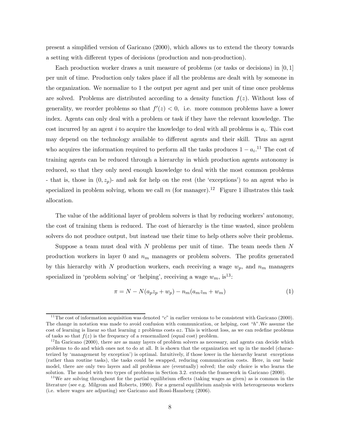present a simplified version of Garicano (2000), which allows us to extend the theory towards a setting with different types of decisions (production and non-production).

Each production worker draws a unit measure of problems (or tasks or decisions) in  $[0, 1]$ per unit of time. Production only takes place if all the problems are dealt with by someone in the organization. We normalize to 1 the output per agent and per unit of time once problems are solved. Problems are distributed according to a density function  $f(z)$ . Without loss of generality, we reorder problems so that  $f'(z) < 0$ , i.e. more common problems have a lower index. Agents can only deal with a problem or task if they have the relevant knowledge. The cost incurred by an agent i to acquire the knowledge to deal with all problems is  $a_i$ . This cost may depend on the technology available to different agents and their skill. Thus an agent who acquires the information required to perform all the tasks produces  $1 - a_i$ <sup>11</sup>. The cost of training agents can be reduced through a hierarchy in which production agents autonomy is reduced, so that they only need enough knowledge to deal with the most common problems - that is, those in  $(0, z_p)$ - and ask for help on the rest (the 'exceptions') to an agent who is specialized in problem solving, whom we call m (for manager).<sup>12</sup> Figure 1 illustrates this task allocation.

The value of the additional layer of problem solvers is that by reducing workers' autonomy, the cost of training them is reduced. The cost of hierarchy is the time wasted, since problem solvers do not produce output, but instead use their time to help others solve their problems.

Suppose a team must deal with  $N$  problems per unit of time. The team needs then  $N$ production workers in layer 0 and  $n_m$  managers or problem solvers. The profits generated by this hierarchy with N production workers, each receiving a wage  $w_p$ , and  $n_m$  managers specialized in 'problem solving' or 'helping', receiving a wage  $w_m$ , is<sup>13</sup>:

$$
\pi = N - N(a_p z_p + w_p) - n_m(a_m z_m + w_m) \tag{1}
$$

<sup>&</sup>lt;sup>11</sup>The cost of information acquisition was denoted "c" in earlier versions to be consistent with Garicano (2000). The change in notation was made to avoid confusion with communication, or helping, cost "h".We assume the cost of learning is linear so that learning z problems costs  $az$ . This is without loss, as we can redefine problems of tasks so that  $f(z)$  is the frequency of a renormalized (equal cost) problem.

 $12$ In Garicano (2000), there are as many layers of problem solvers as necessary, and agents can decide which problems to do and which ones not to do at all. It is shown that the organization set up in the model (characterized by 'management by exception') is optimal. Intuitively, if those lower in the hierarchy learnt exceptions (rather than routine tasks), the tasks could be swapped, reducing communication costs. Here, in our basic model, there are only two layers and all problems are (eventually) solved; the only choice is who learns the solution. The model with two types of problems in Section 3.2. extends the framework in Garicano (2000).

<sup>&</sup>lt;sup>13</sup>We are solving throughout for the partial equilibrium effects (taking wages as given) as is common in the literature (see e.g. Milgrom and Roberts, 1990). For a general equilibrium analysis with heterogeneous workers (i.e. where wages are adjusting) see Garicano and Rossi-Hansberg (2006).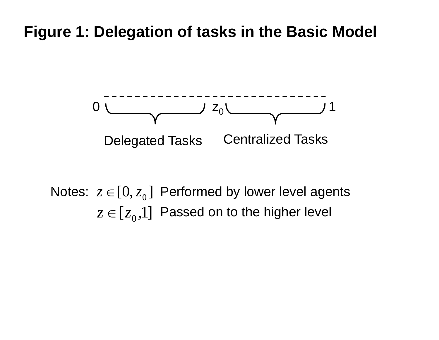# **Figure 1: Delegation of tasks in the Basic Model**



# Notes:  $z\in[0,z_0]$  Performed by lower level agents  $z\in\left[ \left. z_{0},\right. \right] \right.$  Passed on to the higher level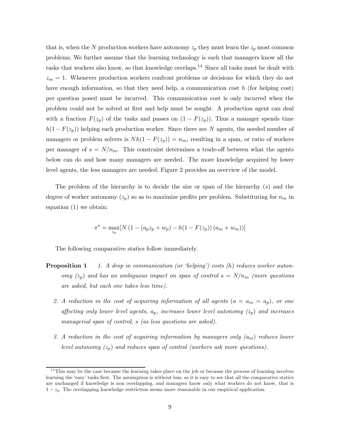that is, when the N production workers have autonomy  $z_p$  they must learn the  $z_p$  most common problems. We further assume that the learning technology is such that managers know all the tasks that workers also know, so that knowledge overlaps.14 Since all tasks must be dealt with  $z_m = 1$ . Whenever production workers confront problems or decisions for which they do not have enough information, so that they need help, a communication cost h (for helping cost) per question posed must be incurred. This communication cost is only incurred when the problem could not be solved at first and help must be sought. A production agent can deal with a fraction  $F(z_p)$  of the tasks and passes on  $(1 - F(z_p))$ . Thus a manager spends time  $h(1 - F(z_p))$  helping each production worker. Since there are N agents, the needed number of managers or problem solvers is  $Nh(1 - F(z_p)) = n_m$ , resulting in a span, or ratio of workers per manager of  $s = N/n_m$ . This constraint determines a trade-off between what the agents below can do and how many managers are needed. The more knowledge acquired by lower level agents, the less managers are needed. Figure 2 provides an overview of the model.

The problem of the hierarchy is to decide the size or span of the hierarchy  $(s)$  and the degree of worker autonomy  $(z_p)$  so as to maximize profits per problem. Substituting for  $n_m$  in equation (1) we obtain:

$$
\pi^* = \max_{z_p} [N (1 - (a_p z_p + w_p) - h(1 - F(z_p)) (a_m + w_m))]
$$

The following comparative statics follow immediately.

- **Proposition 1** 1. A drop in communication (or 'helping') costs  $(h)$  reduces worker autonomy  $(z_p)$  and has an ambiguous impact on span of control  $s = N/n_m$  (more questions are asked, but each one takes less time).
	- 2. A reduction in the cost of acquiring information of all agents  $(a = a_m = a_p)$ , or one affecting only lower level agents,  $a_p$ , increases lower level autonomy  $(z_p)$  and increases managerial span of control, s (as less questions are asked).
	- 3. A reduction in the cost of acquiring information by managers only  $(a_m)$  reduces lower level autonomy  $(z_p)$  and reduces span of control (workers ask more questions).

 $14$ This may be the case because the learning takes place on the job or because the process of learning involves learning the 'easy' tasks first. The assumption is without loss, as it is easy to see that all the comparative statics are unchanged if knowledge is non overlapping, and managers know only what workers do not know, that is  $1-z_p$ . The overlapping knowledge restriction seems more reasonable in our empirical application.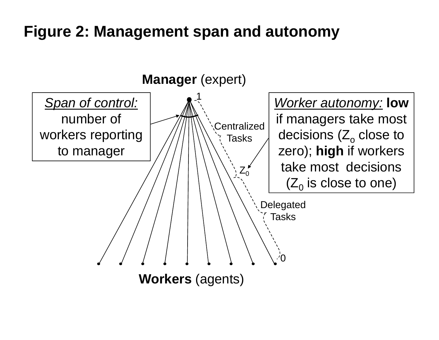# **Figure 2: Management span and autonomy**

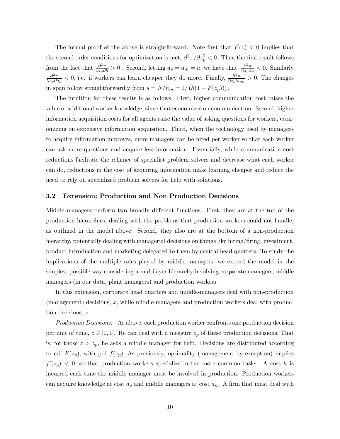The formal proof of the above is straightforward. Note first that  $f'(z) < 0$  implies that the second order conditions for optimization is met,  $\partial^2 \pi / \partial z_p^2 < 0$ . Then the first result follows from the fact that  $\frac{\partial^2 \pi}{\partial z_p \partial h} > 0$ . Second, letting  $a_p = a_m = a$ , we have that:  $\frac{\partial^2 \pi}{\partial z_p \partial a} < 0$ . Similarly  $\frac{\partial^2 \pi}{\partial z_p \partial a_p}$  < 0, i.e. if workers can learn cheaper they do more. Finally,  $\frac{\partial^2 \pi}{\partial z_p \partial a_m} > 0$ . The changes in span follow straightforwardly from  $s = N/n_m = 1/(h(1 - F(z_p)))$ .

The intuition for these results is as follows. First, higher communication cost raises the value of additional worker knowledge, since that economizes on communication. Second, higher information acquisition costs for all agents raise the value of asking questions for workers, economizing on expensive information acquisition. Third, when the technology used by managers to acquire information improves, more managers can be hired per worker so that each worker can ask more questions and acquire less information. Essentially, while communication cost reductions facilitate the reliance of specialist problem solvers and decrease what each worker can do, reductions in the cost of acquiring information make learning cheaper and reduce the need to rely on specialized problem solvers for help with solutions.

#### 3.2 Extension: Production and Non Production Decisions

Middle managers perform two broadly different functions. First, they are at the top of the production hierarchies, dealing with the problems that production workers could not handle, as outlined in the model above. Second, they also are at the bottom of a non-production hierarchy, potentially dealing with managerial decisions on things like hiring/firing, investment, product introduction and marketing delegated to them by central head quarters. To study the implications of the multiple roles played by middle managers, we extend the model in the simplest possible way considering a multilayer hierarchy involving corporate managers, middle managers (in our data, plant managers) and production workers.

In this extension, corporate head quarters and middle-managers deal with non-production (management) decisions, x, while middle-managers and production workers deal with production decisions, z.

Production Decisions: As above, each production worker confronts one production decision per unit of time,  $z \in [0,1]$ . He can deal with a measure  $z_p$  of these production decisions. That is, for those  $z>z_p$ , he asks a middle manager for help. Decisions are distributed according to cdf  $F(z_p)$ , with pdf  $f(z_p)$ . As previously, optimality (management by exception) implies  $f'(z_p) < 0$ , so that production workers specialize in the more common tasks. A cost h is incurred each time the middle manager must be involved in production. Production workers can acquire knowledge at cost  $a_p$  and middle managers at cost  $a_m$ . A firm that must deal with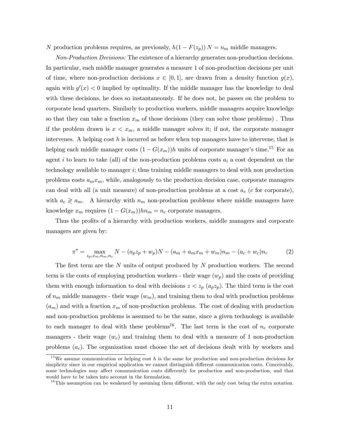N production problems requires, as previously,  $h(1 - F(z_p)) N = n_m$  middle managers.

Non-Production Decisions: The existence of a hierarchy generates non-production decisions. In particular, each middle manager generates a measure 1 of non-production decisions per unit of time, where non-production decisions  $x \in [0, 1]$ , are drawn from a density function  $g(x)$ , again with  $g'(x) < 0$  implied by optimality. If the middle manager has the knowledge to deal with these decisions, he does so instantaneously. If he does not, he passes on the problem to corporate head quarters. Similarly to production workers, middle managers acquire knowledge so that they can take a fraction  $x_m$  of those decisions (they can solve those problems). Thus if the problem drawn is  $x < x_m$ , a middle manager solves it; if not, the corporate manager intervenes. A helping cost  $h$  is incurred as before when top managers have to intervene, that is helping each middle manager costs  $(1 - G(x_m))h$  units of corporate manager's time.<sup>15</sup> For an agent i to learn to take (all) of the non-production problems costs  $a_i$  a cost dependent on the technology available to manager i; thus training middle managers to deal with non production problems costs  $a_m x_m$ , while, analogously to the production decision case, corporate managers can deal with all (a unit measure) of non-production problems at a cost  $a_c$  (c for corporate), with  $a_c \geq a_m$ . A hierarchy with  $n_m$  non-production problems where middle managers have knowledge  $x_m$  requires  $(1 - G(x_m))hn_m = n_c$  corporate managers.

Thus the profits of a hierarchy with production workers, middle managers and corporate managers are given by:

$$
\pi^* = \max_{z_p, x_m, n_m, n_c} N - (a_p z_p + w_p)N - (a_m + a_m x_m + w_m)n_m - (a_c + w_c)n_c \tag{2}
$$

The first term are the N units of output produced by N production workers. The second term is the costs of employing production workers - their wage  $(w_p)$  and the costs of providing them with enough information to deal with decisions  $z < z_p$  ( $a_p z_p$ ). The third term is the cost of  $n_m$  middle managers - their wage  $(w_m)$ , and training them to deal with production problems  $(a_m)$  and with a fraction  $x_m$  of non-production problems. The cost of dealing with production and non-production problems is assumed to be the same, since a given technology is available to each manager to deal with these problems<sup>16</sup>. The last term is the cost of  $n_c$  corporate managers - their wage  $(w_c)$  and training them to deal with a measure of 1 non-production problems  $(a<sub>c</sub>)$ . The organization must choose the set of decisions dealt with by workers and

<sup>&</sup>lt;sup>15</sup>We assume communication or helping cost  $h$  is the same for production and non-production decisions for simplicity since in our empirical application we cannot distinguish different communication costs. Conceivably, some technologies may affect communication costs differently for production and non-production, and that would have to be taken into account in the formulation.

 $16$ This assumption can be weakened by assuming them different, with the only cost being the extra notation.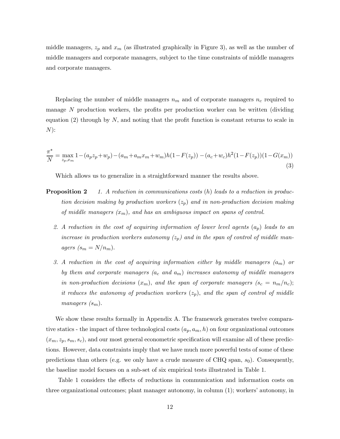middle managers,  $z_p$  and  $x_m$  (as illustrated graphically in Figure 3), as well as the number of middle managers and corporate managers, subject to the time constraints of middle managers and corporate managers.

Replacing the number of middle managers  $n_m$  and of corporate managers  $n_c$  required to manage  $N$  production workers, the profits per production worker can be written (dividing equation  $(2)$  through by N, and noting that the profit function is constant returns to scale in  $N)$ :

$$
\frac{\pi^*}{N} = \max_{z_p, x_m} 1 - (a_p z_p + w_p) - (a_m + a_m x_m + w_m)h(1 - F(z_p)) - (a_c + w_c)h^2(1 - F(z_p))(1 - G(x_m))
$$
\n(3)

Which allows us to generalize in a straightforward manner the results above.

- **Proposition 2** 1. A reduction in communications costs  $(h)$  leads to a reduction in production decision making by production workers  $(z_p)$  and in non-production decision making of middle managers  $(x_m)$ , and has an ambiguous impact on spans of control.
	- 2. A reduction in the cost of acquiring information of lower level agents  $(a_p)$  leads to an increase in production workers autonomy  $(z_p)$  and in the span of control of middle managers  $(s_m = N/n_m)$ .
	- 3. A reduction in the cost of acquiring information either by middle managers  $(a_m)$  or by them and corporate managers  $(a_c \text{ and } a_m)$  increases autonomy of middle managers in non-production decisions  $(x_m)$ , and the span of corporate managers  $(s_c = n_m/n_c)$ ; it reduces the autonomy of production workers  $(z_p)$ , and the span of control of middle managers  $(s_m)$ .

We show these results formally in Appendix A. The framework generates twelve comparative statics - the impact of three technological costs  $(a_p, a_m, h)$  on four organizational outcomes  $(x_m, z_p, s_m, s_c)$ , and our most general econometric specification will examine all of these predictions. However, data constraints imply that we have much more powerful tests of some of these predictions than others (e.g. we only have a crude measure of CHQ span,  $s_0$ ). Consequently, the baseline model focuses on a sub-set of six empirical tests illustrated in Table 1.

Table 1 considers the effects of reductions in communication and information costs on three organizational outcomes; plant manager autonomy, in column (1); workers' autonomy, in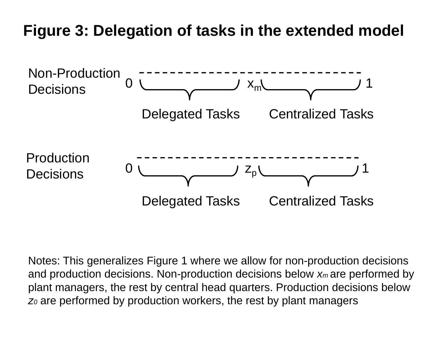# **Figure 3: Delegation of tasks in the extended model**



Notes: This generalizes Figure 1 where we allow for non-production decisions and production decisions. Non-production decisions below *xm* are performed by plant managers, the rest by central head quarters. Production decisions below *z0* are performed by production workers, the rest by plant managers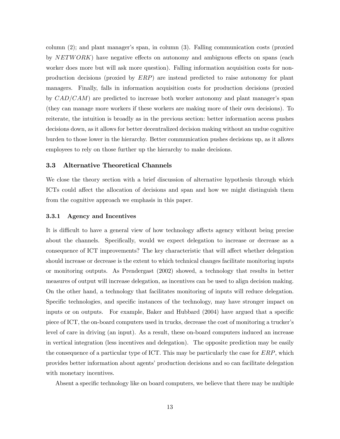column (2); and plant manager's span, in column (3). Falling communication costs (proxied by NETWORK) have negative effects on autonomy and ambiguous effects on spans (each worker does more but will ask more question). Falling information acquisition costs for nonproduction decisions (proxied by ERP) are instead predicted to raise autonomy for plant managers. Finally, falls in information acquisition costs for production decisions (proxied by  $CAD/CAM$ ) are predicted to increase both worker autonomy and plant manager's span (they can manage more workers if these workers are making more of their own decisions). To reiterate, the intuition is broadly as in the previous section: better information access pushes decisions down, as it allows for better decentralized decision making without an undue cognitive burden to those lower in the hierarchy. Better communication pushes decisions up, as it allows employees to rely on those further up the hierarchy to make decisions.

#### 3.3 Alternative Theoretical Channels

We close the theory section with a brief discussion of alternative hypothesis through which ICTs could affect the allocation of decisions and span and how we might distinguish them from the cognitive approach we emphasis in this paper.

#### 3.3.1 Agency and Incentives

It is difficult to have a general view of how technology affects agency without being precise about the channels. Specifically, would we expect delegation to increase or decrease as a consequence of ICT improvements? The key characteristic that will affect whether delegation should increase or decrease is the extent to which technical changes facilitate monitoring inputs or monitoring outputs. As Prendergast (2002) showed, a technology that results in better measures of output will increase delegation, as incentives can be used to align decision making. On the other hand, a technology that facilitates monitoring of inputs will reduce delegation. Specific technologies, and specific instances of the technology, may have stronger impact on inputs or on outputs. For example, Baker and Hubbard (2004) have argued that a specific piece of ICT, the on-board computers used in trucks, decrease the cost of monitoring a trucker's level of care in driving (an input). As a result, these on-board computers induced an increase in vertical integration (less incentives and delegation). The opposite prediction may be easily the consequence of a particular type of ICT. This may be particularly the case for ERP, which provides better information about agents' production decisions and so can facilitate delegation with monetary incentives.

Absent a specific technology like on board computers, we believe that there may be multiple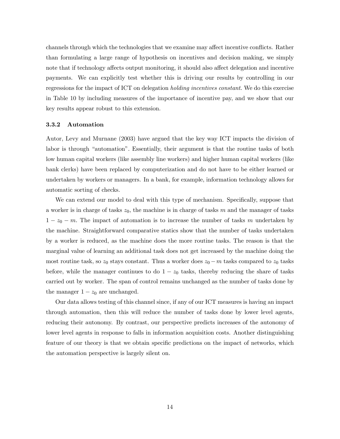channels through which the technologies that we examine may affect incentive conflicts. Rather than formulating a large range of hypothesis on incentives and decision making, we simply note that if technology affects output monitoring, it should also affect delegation and incentive payments. We can explicitly test whether this is driving our results by controlling in our regressions for the impact of ICT on delegation holding incentives constant. We do this exercise in Table 10 by including measures of the importance of incentive pay, and we show that our key results appear robust to this extension.

#### 3.3.2 Automation

Autor, Levy and Murnane (2003) have argued that the key way ICT impacts the division of labor is through "automation". Essentially, their argument is that the routine tasks of both low human capital workers (like assembly line workers) and higher human capital workers (like bank clerks) have been replaced by computerization and do not have to be either learned or undertaken by workers or managers. In a bank, for example, information technology allows for automatic sorting of checks.

We can extend our model to deal with this type of mechanism. Specifically, suppose that a worker is in charge of tasks  $z_0$ , the machine is in charge of tasks m and the manager of tasks  $1 - z_0 - m$ . The impact of automation is to increase the number of tasks m undertaken by the machine. Straightforward comparative statics show that the number of tasks undertaken by a worker is reduced, as the machine does the more routine tasks. The reason is that the marginal value of learning an additional task does not get increased by the machine doing the most routine task, so  $z_0$  stays constant. Thus a worker does  $z_0 - m$  tasks compared to  $z_0$  tasks before, while the manager continues to do  $1 - z_0$  tasks, thereby reducing the share of tasks carried out by worker. The span of control remains unchanged as the number of tasks done by the manager  $1 - z_0$  are unchanged.

Our data allows testing of this channel since, if any of our ICT measures is having an impact through automation, then this will reduce the number of tasks done by lower level agents, reducing their autonomy. By contrast, our perspective predicts increases of the autonomy of lower level agents in response to falls in information acquisition costs. Another distinguishing feature of our theory is that we obtain specific predictions on the impact of networks, which the automation perspective is largely silent on.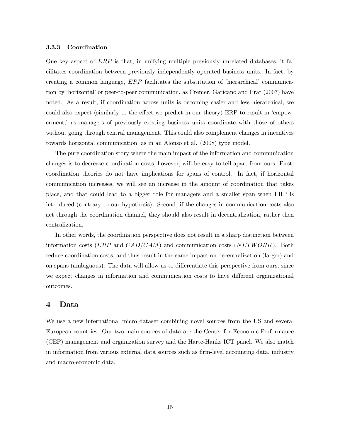#### 3.3.3 Coordination

One key aspect of ERP is that, in unifying multiple previously unrelated databases, it facilitates coordination between previously independently operated business units. In fact, by creating a common language, ERP facilitates the substitution of 'hierarchical' communication by 'horizontal' or peer-to-peer communication, as Cremer, Garicano and Prat (2007) have noted. As a result, if coordination across units is becoming easier and less hierarchical, we could also expect (similarly to the effect we predict in our theory) ERP to result in 'empowerment,' as managers of previously existing business units coordinate with those of others without going through central management. This could also complement changes in incentives towards horizontal communication, as in an Alonso et al. (2008) type model.

The pure coordination story where the main impact of the information and communication changes is to decrease coordination costs, however, will be easy to tell apart from ours. First, coordination theories do not have implications for spans of control. In fact, if horizontal communication increases, we will see an increase in the amount of coordination that takes place, and that could lead to a bigger role for managers and a smaller span when ERP is introduced (contrary to our hypothesis). Second, if the changes in communication costs also act through the coordination channel, they should also result in decentralization, rather then centralization.

In other words, the coordination perspective does not result in a sharp distinction between information costs (*ERP* and  $CAD/CAM$ ) and communication costs (*NETWORK*). Both reduce coordination costs, and thus result in the same impact on decentralization (larger) and on spans (ambiguous). The data will allow us to differentiate this perspective from ours, since we expect changes in information and communication costs to have different organizational outcomes.

## 4 Data

We use a new international micro dataset combining novel sources from the US and several European countries. Our two main sources of data are the Center for Economic Performance (CEP) management and organization survey and the Harte-Hanks ICT panel. We also match in information from various external data sources such as firm-level accounting data, industry and macro-economic data.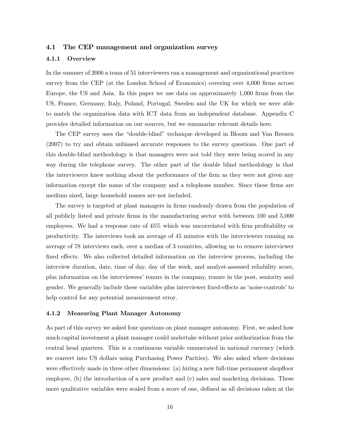#### 4.1 The CEP management and organization survey

#### 4.1.1 Overview

In the summer of 2006 a team of 51 interviewers ran a management and organizational practices survey from the CEP (at the London School of Economics) covering over 4,000 firms across Europe, the US and Asia. In this paper we use data on approximately 1,000 firms from the US, France, Germany, Italy, Poland, Portugal, Sweden and the UK for which we were able to match the organization data with ICT data from an independent database. Appendix C provides detailed information on our sources, but we summarize relevant details here.

The CEP survey uses the "double-blind" technique developed in Bloom and Van Reenen (2007) to try and obtain unbiased accurate responses to the survey questions. One part of this double-blind methodology is that managers were not told they were being scored in any way during the telephone survey. The other part of the double blind methodology is that the interviewers knew nothing about the performance of the firm as they were not given any information except the name of the company and a telephone number. Since these firms are medium sized, large household names are not included.

The survey is targeted at plant managers in firms randomly drawn from the population of all publicly listed and private firms in the manufacturing sector with between 100 and 5,000 employees. We had a response rate of 45% which was uncorrelated with firm profitability or productivity. The interviews took an average of 45 minutes with the interviewers running an average of 78 interviews each, over a median of 3 countries, allowing us to remove interviewer fixed effects. We also collected detailed information on the interview process, including the interview duration, date, time of day, day of the week, and analyst-assessed reliability score, plus information on the interviewees' tenure in the company, tenure in the post, seniority and gender. We generally include these variables plus interviewer fixed-effects as 'noise-controls' to help control for any potential measurement error.

#### 4.1.2 Measuring Plant Manager Autonomy

As part of this survey we asked four questions on plant manager autonomy. First, we asked how much capital investment a plant manager could undertake without prior authorization from the central head quarters. This is a continuous variable enumerated in national currency (which we convert into US dollars using Purchasing Power Parities). We also asked where decisions were effectively made in three other dimensions: (a) hiring a new full-time permanent shopfloor employee, (b) the introduction of a new product and (c) sales and marketing decisions. These more qualitative variables were scaled from a score of one, defined as all decisions taken at the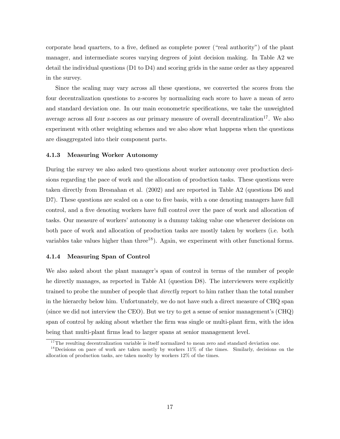corporate head quarters, to a five, defined as complete power ("real authority") of the plant manager, and intermediate scores varying degrees of joint decision making. In Table A2 we detail the individual questions (D1 to D4) and scoring grids in the same order as they appeared in the survey.

Since the scaling may vary across all these questions, we converted the scores from the four decentralization questions to z-scores by normalizing each score to have a mean of zero and standard deviation one. In our main econometric specifications, we take the unweighted average across all four z-scores as our primary measure of overall decentralization<sup>17</sup>. We also experiment with other weighting schemes and we also show what happens when the questions are disaggregated into their component parts.

#### 4.1.3 Measuring Worker Autonomy

During the survey we also asked two questions about worker autonomy over production decisions regarding the pace of work and the allocation of production tasks. These questions were taken directly from Bresnahan et al. (2002) and are reported in Table A2 (questions D6 and D7). These questions are scaled on a one to five basis, with a one denoting managers have full control, and a five denoting workers have full control over the pace of work and allocation of tasks. Our measure of workers' autonomy is a dummy taking value one whenever decisions on both pace of work and allocation of production tasks are mostly taken by workers (i.e. both variables take values higher than three<sup>18</sup>). Again, we experiment with other functional forms.

#### 4.1.4 Measuring Span of Control

We also asked about the plant manager's span of control in terms of the number of people he directly manages, as reported in Table A1 (question D8). The interviewers were explicitly trained to probe the number of people that directly report to him rather than the total number in the hierarchy below him. Unfortunately, we do not have such a direct measure of CHQ span (since we did not interview the CEO). But we try to get a sense of senior management's (CHQ) span of control by asking about whether the firm was single or multi-plant firm, with the idea being that multi-plant firms lead to larger spans at senior management level.

 $17$ The resulting decentralization variable is itself normalized to mean zero and standard deviation one.

<sup>&</sup>lt;sup>18</sup>Decisions on pace of work are taken mostly by workers 11% of the times. Similarly, decisions on the allocation of production tasks, are taken moslty by workers 12% of the times.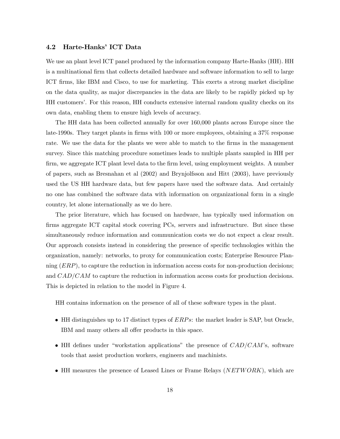#### 4.2 Harte-Hanks' ICT Data

We use an plant level ICT panel produced by the information company Harte-Hanks (HH). HH is a multinational firm that collects detailed hardware and software information to sell to large ICT firms, like IBM and Cisco, to use for marketing. This exerts a strong market discipline on the data quality, as major discrepancies in the data are likely to be rapidly picked up by HH customers'. For this reason, HH conducts extensive internal random quality checks on its own data, enabling them to ensure high levels of accuracy.

The HH data has been collected annually for over 160,000 plants across Europe since the late-1990s. They target plants in firms with 100 or more employees, obtaining a 37% response rate. We use the data for the plants we were able to match to the firms in the management survey. Since this matching procedure sometimes leads to multiple plants sampled in HH per firm, we aggregate ICT plant level data to the firm level, using employment weights. A number of papers, such as Bresnahan et al (2002) and Brynjolfsson and Hitt (2003), have previously used the US HH hardware data, but few papers have used the software data. And certainly no one has combined the software data with information on organizational form in a single country, let alone internationally as we do here.

The prior literature, which has focused on hardware, has typically used information on firms aggregate ICT capital stock covering PCs, servers and infrastructure. But since these simultaneously reduce information and communication costs we do not expect a clear result. Our approach consists instead in considering the presence of specific technologies within the organization, namely: networks, to proxy for communication costs; Enterprise Resource Planning (ERP), to capture the reduction in information access costs for non-production decisions; and CAD/CAM to capture the reduction in information access costs for production decisions. This is depicted in relation to the model in Figure 4.

HH contains information on the presence of all of these software types in the plant.

- HH distinguishes up to 17 distinct types of  $ERPs$ : the market leader is SAP, but Oracle, IBM and many others all offer products in this space.
- HH defines under "workstation applications" the presence of  $CAD/CAM$ 's, software tools that assist production workers, engineers and machinists.
- HH measures the presence of Leased Lines or Frame Relays  $(NETWORK)$ , which are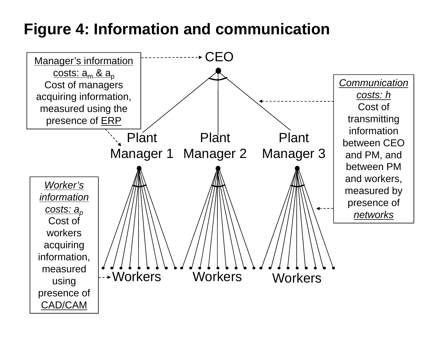# **Figure 4: Information and communication**

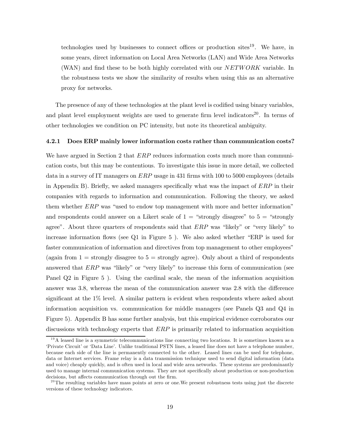technologies used by businesses to connect offices or production sites<sup>19</sup>. We have, in some years, direct information on Local Area Networks (LAN) and Wide Area Networks (WAN) and find these to be both highly correlated with our NETWORK variable. In the robustness tests we show the similarity of results when using this as an alternative proxy for networks.

The presence of any of these technologies at the plant level is codified using binary variables, and plant level employment weights are used to generate firm level indicators<sup>20</sup>. In terms of other technologies we condition on PC intensity, but note its theoretical ambiguity.

#### 4.2.1 Does ERP mainly lower information costs rather than communication costs?

We have argued in Section 2 that *ERP* reduces information costs much more than communication costs, but this may be contentious. To investigate this issue in more detail, we collected data in a survey of IT managers on  $ERP$  usage in 431 firms with 100 to 5000 employees (details in Appendix B). Briefly, we asked managers specifically what was the impact of ERP in their companies with regards to information and communication. Following the theory, we asked them whether ERP was "used to endow top management with more and better information" and respondents could answer on a Likert scale of  $1 =$  "strongly disagree" to  $5 =$  "strongly agree". About three quarters of respondents said that  $ERP$  was "likely" or "very likely" to increase information flows (see Q1 in Figure 5 ). We also asked whether "ERP is used for faster communication of information and directives from top management to other employees" (again from  $1 =$  strongly disagree to  $5 =$  strongly agree). Only about a third of respondents answered that  $ERP$  was "likely" or "very likely" to increase this form of communication (see Panel Q2 in Figure 5 ). Using the cardinal scale, the mean of the information acquisition answer was 3.8, whereas the mean of the communication answer was 2.8 with the difference significant at the 1% level. A similar pattern is evident when respondents where asked about information acquisition vs. communication for middle managers (see Panels Q3 and Q4 in Figure 5). Appendix B has some further analysis, but this empirical evidence corroborates our discussions with technology experts that  $ERP$  is primarily related to information acquisition

 $19A$  leased line is a symmetric telecommunications line connecting two locations. It is sometimes known as a 'Private Circuit' or 'Data Line'. Unlike traditional PSTN lines, a leased line does not have a telephone number, because each side of the line is permanently connected to the other. Leased lines can be used for telephone, data or Internet services. Frame relay is a data transmission technique used to send digital information (data and voice) cheaply quickly, and is often used in local and wide area networks. These systems are predominantly used to manage internal communication systems. They are not specifically about production or non-production decisions, but affects communication through out the firm.

 $^{20}$ The resulting variables have mass points at zero or one. We present robustness tests using just the discrete versions of these technology indicators.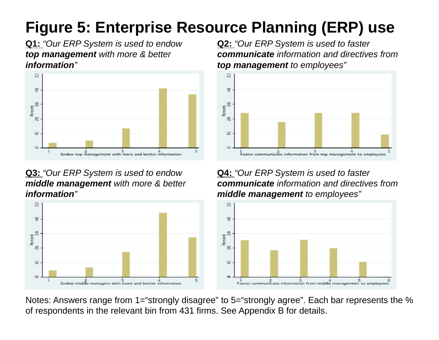# **Figure 5: Enterprise Resource Planning (ERP) use**

**Q1:** *"Our ERP System is used to endow top management with more & better i f ti nformation"*



# **Q3:** *"Our ERP System is used to endow middle management with more & better i f ti"information*



**Q2:** *"Our ERP System is used to faster communicate information and directives from t t tl" top managemen to employees "*



**Q4:** *"Our ERP System is used to faster communicate information and directives from middl t e managemen tl" o employees "*



Notes: Answers range from 1="strongly disagree" to 5="strongly agree". Each bar represents the % of respondents in the relevant bin from 431 firms. See Appendix B for details.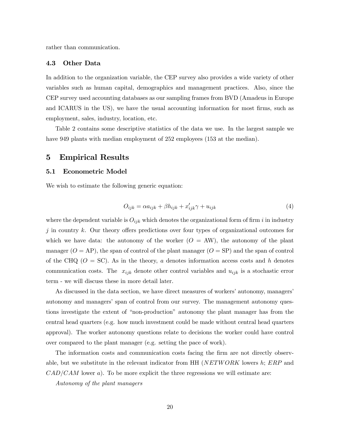rather than communication.

#### 4.3 Other Data

In addition to the organization variable, the CEP survey also provides a wide variety of other variables such as human capital, demographics and management practices. Also, since the CEP survey used accounting databases as our sampling frames from BVD (Amadeus in Europe and ICARUS in the US), we have the usual accounting information for most firms, such as employment, sales, industry, location, etc.

Table 2 contains some descriptive statistics of the data we use. In the largest sample we have 949 plants with median employment of 252 employees (153 at the median).

#### 5 Empirical Results

#### 5.1 Econometric Model

We wish to estimate the following generic equation:

$$
O_{ijk} = \alpha a_{ijk} + \beta h_{ijk} + x'_{ijk}\gamma + u_{ijk}
$$
\n<sup>(4)</sup>

where the dependent variable is  $O_{ijk}$  which denotes the organizational form of firm i in industry  $j$  in country k. Our theory offers predictions over four types of organizational outcomes for which we have data: the autonomy of the worker  $(O = AW)$ , the autonomy of the plant manager  $(O = AP)$ , the span of control of the plant manager  $(O = SP)$  and the span of control of the CHQ ( $O = SC$ ). As in the theory, a denotes information access costs and h denotes communication costs. The  $x_{ijk}$  denote other control variables and  $u_{ijk}$  is a stochastic error term - we will discuss these in more detail later.

As discussed in the data section, we have direct measures of workers' autonomy, managers' autonomy and managers' span of control from our survey. The management autonomy questions investigate the extent of "non-production" autonomy the plant manager has from the central head quarters (e.g. how much investment could be made without central head quarters approval). The worker autonomy questions relate to decisions the worker could have control over compared to the plant manager (e.g. setting the pace of work).

The information costs and communication costs facing the firm are not directly observable, but we substitute in the relevant indicator from HH ( $NETWORK$  lowers h;  $ERP$  and  $CAD/CAM$  lower a). To be more explicit the three regressions we will estimate are:

Autonomy of the plant managers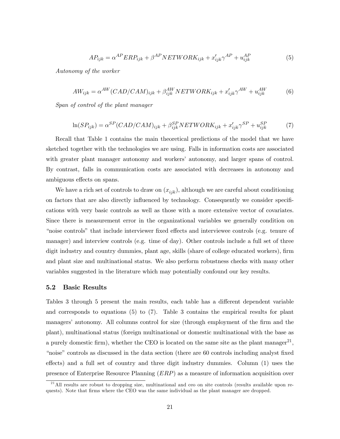$$
AP_{ijk} = \alpha^{AP} ERP_{ijk} + \beta^{AP} NETWORK_{ijk} + x'_{ijk} \gamma^{AP} + u^{AP}_{ijk}
$$
(5)

Autonomy of the worker

$$
AW_{ijk} = \alpha^{AW}(CAD/CAM)_{ijk} + \beta^{AW}_{ijk} NETWORK_{ijk} + x'_{ijk}\gamma^{AW} + u^{AW}_{ijk}
$$
(6)

Span of control of the plant manager

$$
\ln(SP_{ijk}) = \alpha^{SP}(CAD/CAM)_{ijk} + \beta_{ijk}^{SP} NETWORK_{ijk} + x_{ijk}'\gamma^{SP} + u_{ijk}^{SP}
$$
 (7)

Recall that Table 1 contains the main theoretical predictions of the model that we have sketched together with the technologies we are using. Falls in information costs are associated with greater plant manager autonomy and workers' autonomy, and larger spans of control. By contrast, falls in communication costs are associated with decreases in autonomy and ambiguous effects on spans.

We have a rich set of controls to draw on  $(x_{ijk})$ , although we are careful about conditioning on factors that are also directly influenced by technology. Consequently we consider specifications with very basic controls as well as those with a more extensive vector of covariates. Since there is measurement error in the organizational variables we generally condition on "noise controls" that include interviewer fixed effects and interviewee controls (e.g. tenure of manager) and interview controls (e.g. time of day). Other controls include a full set of three digit industry and country dummies, plant age, skills (share of college educated workers), firm and plant size and multinational status. We also perform robustness checks with many other variables suggested in the literature which may potentially confound our key results.

#### 5.2 Basic Results

Tables 3 through 5 present the main results, each table has a different dependent variable and corresponds to equations (5) to (7). Table 3 contains the empirical results for plant managers' autonomy. All columns control for size (through employment of the firm and the plant), multinational status (foreign multinational or domestic multinational with the base as a purely domestic firm), whether the CEO is located on the same site as the plant manager<sup>21</sup>, "noise" controls as discussed in the data section (there are 60 controls including analyst fixed effects) and a full set of country and three digit industry dummies. Column (1) uses the presence of Enterprise Resource Planning (ERP) as a measure of information acquisition over

 $^{21}$ All results are robust to dropping size, multinational and ceo on site controls (results available upon requests). Note that firms where the CEO was the same individual as the plant manager are dropped.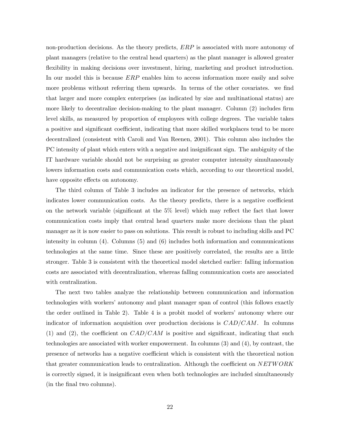non-production decisions. As the theory predicts, ERP is associated with more autonomy of plant managers (relative to the central head quarters) as the plant manager is allowed greater flexibility in making decisions over investment, hiring, marketing and product introduction. In our model this is because  $ERP$  enables him to access information more easily and solve more problems without referring them upwards. In terms of the other covariates. we find that larger and more complex enterprises (as indicated by size and multinational status) are more likely to decentralize decision-making to the plant manager. Column (2) includes firm level skills, as measured by proportion of employees with college degrees. The variable takes a positive and significant coefficient, indicating that more skilled workplaces tend to be more decentralized (consistent with Caroli and Van Reenen, 2001). This column also includes the PC intensity of plant which enters with a negative and insignificant sign. The ambiguity of the IT hardware variable should not be surprising as greater computer intensity simultaneously lowers information costs and communication costs which, according to our theoretical model, have opposite effects on autonomy.

The third column of Table 3 includes an indicator for the presence of networks, which indicates lower communication costs. As the theory predicts, there is a negative coefficient on the network variable (significant at the 5% level) which may reflect the fact that lower communication costs imply that central head quarters make more decisions than the plant manager as it is now easier to pass on solutions. This result is robust to including skills and PC intensity in column (4). Columns (5) and (6) includes both information and communications technologies at the same time. Since these are positively correlated, the results are a little stronger. Table 3 is consistent with the theoretical model sketched earlier: falling information costs are associated with decentralization, whereas falling communication costs are associated with centralization.

The next two tables analyze the relationship between communication and information technologies with workers' autonomy and plant manager span of control (this follows exactly the order outlined in Table 2). Table 4 is a probit model of workers' autonomy where our indicator of information acquisition over production decisions is  $CAD/CAM$ . In columns (1) and (2), the coefficient on  $CAD/CAM$  is positive and significant, indicating that such technologies are associated with worker empowerment. In columns (3) and (4), by contrast, the presence of networks has a negative coefficient which is consistent with the theoretical notion that greater communication leads to centralization. Although the coefficient on NETWORK is correctly signed, it is insignificant even when both technologies are included simultaneously (in the final two columns).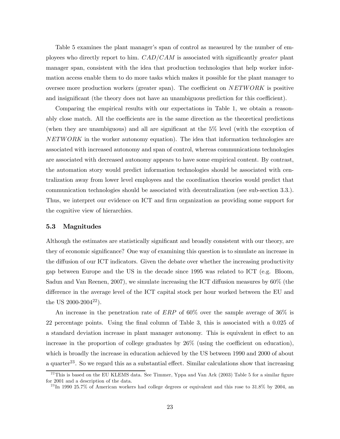Table 5 examines the plant manager's span of control as measured by the number of employees who directly report to him.  $CAD/CAM$  is associated with significantly greater plant manager span, consistent with the idea that production technologies that help worker information access enable them to do more tasks which makes it possible for the plant manager to oversee more production workers (greater span). The coefficient on NETWORK is positive and insignificant (the theory does not have an unambiguous prediction for this coefficient).

Comparing the empirical results with our expectations in Table 1, we obtain a reasonably close match. All the coefficients are in the same direction as the theoretical predictions (when they are unambiguous) and all are significant at the 5% level (with the exception of  $NETWORK$  in the worker autonomy equation). The idea that information technologies are associated with increased autonomy and span of control, whereas communications technologies are associated with decreased autonomy appears to have some empirical content. By contrast, the automation story would predict information technologies should be associated with centralization away from lower level employees and the coordination theories would predict that communication technologies should be associated with decentralization (see sub-section 3.3.). Thus, we interpret our evidence on ICT and firm organization as providing some support for the cognitive view of hierarchies.

#### 5.3 Magnitudes

Although the estimates are statistically significant and broadly consistent with our theory, are they of economic significance? One way of examining this question is to simulate an increase in the diffusion of our ICT indicators. Given the debate over whether the increasing productivity gap between Europe and the US in the decade since 1995 was related to ICT (e.g. Bloom, Sadun and Van Reenen, 2007), we simulate increasing the ICT diffusion measures by 60% (the difference in the average level of the ICT capital stock per hour worked between the EU and the US 2000-2004<sup>22</sup>).

An increase in the penetration rate of  $ERP$  of 60% over the sample average of 36% is 22 percentage points. Using the final column of Table 3, this is associated with a 0.025 of a standard deviation increase in plant manager autonomy. This is equivalent in effect to an increase in the proportion of college graduates by 26% (using the coefficient on education), which is broadly the increase in education achieved by the US between 1990 and 2000 of about a quarter<sup>23</sup>. So we regard this as a substantial effect. Similar calculations show that increasing

 $^{22}$ This is based on the EU KLEMS data. See Timmer, Yppa and Van Ark (2003) Table 5 for a similar figure for 2001 and a description of the data.

 $^{23}$ In 1990 25.7% of American workers had college degrees or equivalent and this rose to 31.8% by 2004, an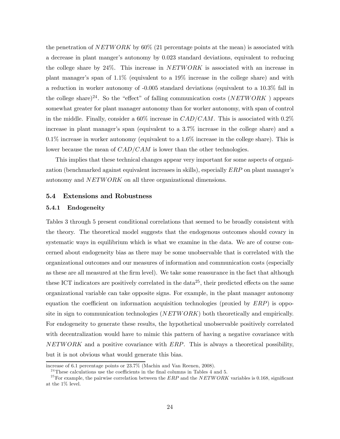the penetration of  $NETWORK$  by 60% (21 percentage points at the mean) is associated with a decrease in plant manger's autonomy by 0.023 standard deviations, equivalent to reducing the college share by 24%. This increase in NETWORK is associated with an increase in plant manager's span of 1.1% (equivalent to a 19% increase in the college share) and with a reduction in worker autonomy of -0.005 standard deviations (equivalent to a 10.3% fall in the college share)<sup>24</sup>. So the "effect" of falling communication costs (NETWORK) appears somewhat greater for plant manager autonomy than for worker autonomy, with span of control in the middle. Finally, consider a  $60\%$  increase in  $CAD/CAM$ . This is associated with  $0.2\%$ increase in plant manager's span (equivalent to a 3.7% increase in the college share) and a  $0.1\%$  increase in worker autonomy (equivalent to a  $1.6\%$  increase in the college share). This is lower because the mean of CAD/CAM is lower than the other technologies.

This implies that these technical changes appear very important for some aspects of organization (benchmarked against equivalent increases in skills), especially ERP on plant manager's autonomy and NETWORK on all three organizational dimensions.

#### 5.4 Extensions and Robustness

#### 5.4.1 Endogeneity

Tables 3 through 5 present conditional correlations that seemed to be broadly consistent with the theory. The theoretical model suggests that the endogenous outcomes should covary in systematic ways in equilibrium which is what we examine in the data. We are of course concerned about endogeneity bias as there may be some unobservable that is correlated with the organizational outcomes and our measures of information and communication costs (especially as these are all measured at the firm level). We take some reassurance in the fact that although these ICT indicators are positively correlated in the data<sup>25</sup>, their predicted effects on the same organizational variable can take opposite signs. For example, in the plant manager autonomy equation the coefficient on information acquisition technologies (proxied by  $ERP$ ) is opposite in sign to communication technologies (NETWORK) both theoretically and empirically. For endogeneity to generate these results, the hypothetical unobservable positively correlated with decentralization would have to mimic this pattern of having a negative covariance with  $NETWORK$  and a positive covariance with  $ERP$ . This is always a theoretical possibility, but it is not obvious what would generate this bias.

increase of 6.1 percentage points or 23.7% (Machin and Van Reenen, 2008).

 $24$ <sup>24</sup>These calculations use the coefficients in the final columns in Tables 4 and 5.

<sup>&</sup>lt;sup>25</sup> For example, the pairwise correlation between the ERP and the NETWORK variables is 0.168, significant at the 1% level.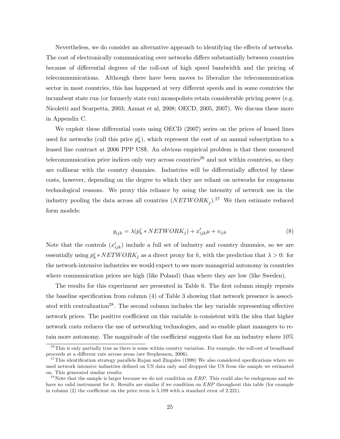Nevertheless, we do consider an alternative approach to identifying the effects of networks. The cost of electronically communicating over networks differs substantially between countries because of differential degrees of the roll-out of high speed bandwidth and the pricing of telecommunications. Although there have been moves to liberalize the telecommunication sector in most countries, this has happened at very different speeds and in some countries the incumbent state run (or formerly state run) monopolists retain considerable pricing power (e.g. Nicoletti and Scarpetta, 2003; Azmat et al, 2008; OECD, 2005, 2007). We discuss these more in Appendix C.

We exploit these differential costs using OECD (2007) series on the prices of leased lines used for networks (call this price  $p_k^c$ ), which represent the cost of an annual subscription to a leased line contract at 2006 PPP US\$. An obvious empirical problem is that these measured telecommunication price indices only vary across countries<sup>26</sup> and not within countries, so they are collinear with the country dummies. Industries will be differentially affected by these costs, however, depending on the degree to which they are reliant on networks for exogenous technological reasons. We proxy this reliance by using the intensity of network use in the industry pooling the data across all countries  $(NETWORK_i)$ .<sup>27</sup> We then estimate reduced form models:

$$
y_{ijk} = \lambda (p_k^c * NETWORK_j) + x_{ijk}'\mu + v_{ijk}
$$
\n(8)

Note that the controls  $(x'_{ijk})$  include a full set of industry and country dummies, so we are essentially using  $p_k^c * NETWORK_j$  as a direct proxy for h, with the prediction that  $\lambda > 0$ : for the network-intensive industries we would expect to see more managerial autonomy in countries where communication prices are high (like Poland) than where they are low (like Sweden).

The results for this experiment are presented in Table 6. The first column simply repeats the baseline specification from column (4) of Table 3 showing that network presence is associated with centralization<sup>28</sup>. The second column includes the key variable representing effective network prices. The positive coefficient on this variable is consistent with the idea that higher network costs reduces the use of networking technologies, and so enable plant managers to retain more autonomy. The magnitude of the coefficient suggests that for an industry where 10%

 $^{26}$ This is only partially true as there is some within country variation. For example, the roll-out of broadband proceeds at a different rate across areas (see Stephenson, 2006).

 $27$ This identification strategy parallels Rajan and Zingales (1998) We also considered specifications where we used network intensive industries defined on US data only and dropped the US from the sample we estimated on. This generated similar results.

<sup>&</sup>lt;sup>28</sup> Note that the sample is larger because we do not condition on  $ERP$ . This could also be endogenous and we have no valid instrument for it. Results are similar if we condition on ERP throughout this table (for example in column (2) the coefficient on the price term is 5.189 with a standard error of 2.221).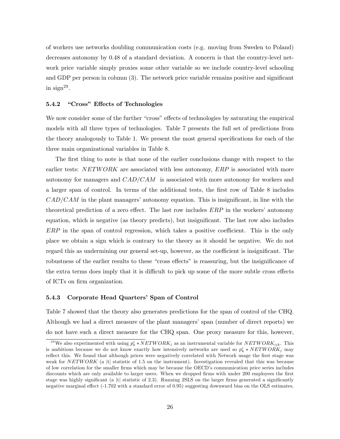of workers use networks doubling communication costs (e.g. moving from Sweden to Poland) decreases autonomy by 0.48 of a standard deviation. A concern is that the country-level network price variable simply proxies some other variable so we include country-level schooling and GDP per person in column (3). The network price variable remains positive and significant in sign<sup>29</sup>.

#### 5.4.2 "Cross" Effects of Technologies

We now consider some of the further "cross" effects of technologies by saturating the empirical models with all three types of technologies. Table 7 presents the full set of predictions from the theory analogously to Table 1. We present the most general specifications for each of the three main organizational variables in Table 8.

The first thing to note is that none of the earlier conclusions change with respect to the earlier tests:  $NETWORK$  are associated with less autonomy,  $ERP$  is associated with more autonomy for managers and  $CAD/CAM$  is associated with more autonomy for workers and a larger span of control. In terms of the additional tests, the first row of Table 8 includes  $CAD/CAM$  in the plant managers' autonomy equation. This is insignificant, in line with the theoretical prediction of a zero effect. The last row includes ERP in the workers' autonomy equation, which is negative (as theory predicts), but insignificant. The last row also includes ERP in the span of control regression, which takes a positive coefficient. This is the only place we obtain a sign which is contrary to the theory as it should be negative. We do not regard this as undermining our general set-up, however, as the coefficient is insignificant. The robustness of the earlier results to these "cross effects" is reassuring, but the insignificance of the extra terms does imply that it is difficult to pick up some of the more subtle cross effects of ICTs on firm organization.

#### 5.4.3 Corporate Head Quarters' Span of Control

Table 7 showed that the theory also generates predictions for the span of control of the CHQ. Although we had a direct measure of the plant managers' span (number of direct reports) we do not have such a direct measure for the CHQ span. One proxy measure for this, however,

<sup>&</sup>lt;sup>29</sup>We also experimented with using  $p_k^c * NETWORK_j$  as an instrumental variable for  $NETWORK_{ijk}$ . This is ambitious because we do not know exactly how intensively networks are used so  $p_k^c * NETWORK_j$  may reflect this. We found that although prices were negatively correlated with Network usage the first stage was weak for NETWORK (a |t| statistic of 1.5 on the instrument). Investigation revealed that this was because of low correlation for the smaller firms which may be because the OECD's communication price series includes discounts which are only available to larger users. When we dropped firms with under 200 employees the first stage was highly significant (a |t| statistic of 2.3). Running 2SLS on the larger firms generated a significantly negative marginal effect (-1.702 with a standard error of 0.95) suggesting downward bias on the OLS estimates.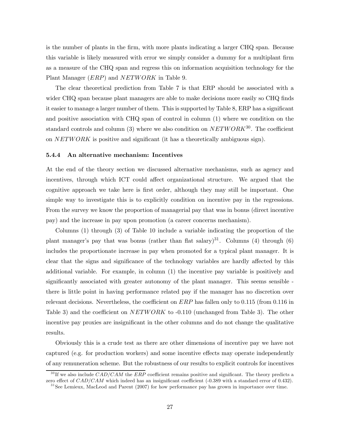is the number of plants in the firm, with more plants indicating a larger CHQ span. Because this variable is likely measured with error we simply consider a dummy for a multiplant firm as a measure of the CHQ span and regress this on information acquisition technology for the Plant Manager (*ERP*) and *NETWORK* in Table 9.

The clear theoretical prediction from Table 7 is that ERP should be associated with a wider CHQ span because plant managers are able to make decisions more easily so CHQ finds it easier to manage a larger number of them. This is supported by Table 8, ERP has a significant and positive association with CHQ span of control in column (1) where we condition on the standard controls and column (3) where we also condition on  $NETWORK^{30}$ . The coefficient on NETWORK is positive and significant (it has a theoretically ambiguous sign).

#### 5.4.4 An alternative mechanism: Incentives

At the end of the theory section we discussed alternative mechanisms, such as agency and incentives, through which ICT could affect organizational structure. We argued that the cognitive approach we take here is first order, although they may still be important. One simple way to investigate this is to explicitly condition on incentive pay in the regressions. From the survey we know the proportion of managerial pay that was in bonus (direct incentive pay) and the increase in pay upon promotion (a career concerns mechanism).

Columns (1) through (3) of Table 10 include a variable indicating the proportion of the plant manager's pay that was bonus (rather than flat salary)<sup>31</sup>. Columns (4) through (6) includes the proportionate increase in pay when promoted for a typical plant manager. It is clear that the signs and significance of the technology variables are hardly affected by this additional variable. For example, in column (1) the incentive pay variable is positively and significantly associated with greater autonomy of the plant manager. This seems sensible there is little point in having performance related pay if the manager has no discretion over relevant decisions. Nevertheless, the coefficient on  $ERP$  has fallen only to 0.115 (from 0.116 in Table 3) and the coefficient on  $NETWORK$  to  $-0.110$  (unchanged from Table 3). The other incentive pay proxies are insignificant in the other columns and do not change the qualitative results.

Obviously this is a crude test as there are other dimensions of incentive pay we have not captured (e.g. for production workers) and some incentive effects may operate independently of any remuneration scheme. But the robustness of our results to explicit controls for incentives

 $30$  If we also include  $CAD/CAM$  the ERP coefficient remains positive and significant. The theory predicts a zero effect of CAD/CAM which indeed has an insignificant coefficient (-0.389 with a standard error of 0.432).

 $31$  See Lemieux, MacLeod and Parent (2007) for how performance pay has grown in importance over time.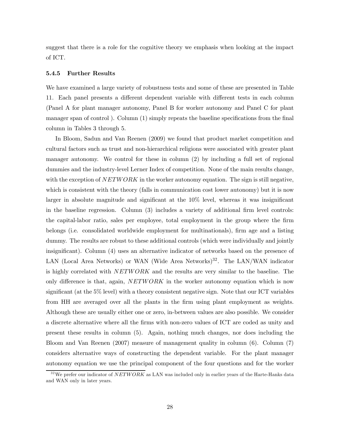suggest that there is a role for the cognitive theory we emphasis when looking at the impact of ICT.

#### 5.4.5 Further Results

We have examined a large variety of robustness tests and some of these are presented in Table 11. Each panel presents a different dependent variable with different tests in each column (Panel A for plant manager autonomy, Panel B for worker autonomy and Panel C for plant manager span of control ). Column (1) simply repeats the baseline specifications from the final column in Tables 3 through 5.

In Bloom, Sadun and Van Reenen (2009) we found that product market competition and cultural factors such as trust and non-hierarchical religions were associated with greater plant manager autonomy. We control for these in column (2) by including a full set of regional dummies and the industry-level Lerner Index of competition. None of the main results change, with the exception of  $NETWORK$  in the worker autonomy equation. The sign is still negative, which is consistent with the theory (falls in communication cost lower autonomy) but it is now larger in absolute magnitude and significant at the 10% level, whereas it was insignificant in the baseline regression. Column (3) includes a variety of additional firm level controls: the capital-labor ratio, sales per employee, total employment in the group where the firm belongs (i.e. consolidated worldwide employment for multinationals), firm age and a listing dummy. The results are robust to these additional controls (which were individually and jointly insignificant). Column (4) uses an alternative indicator of networks based on the presence of LAN (Local Area Networks) or WAN (Wide Area Networks)<sup>32</sup>. The LAN/WAN indicator is highly correlated with NETWORK and the results are very similar to the baseline. The only difference is that, again, NETW ORK in the worker autonomy equation which is now significant (at the 5% level) with a theory consistent negative sign. Note that our ICT variables from HH are averaged over all the plants in the firm using plant employment as weights. Although these are usually either one or zero, in-between values are also possible. We consider a discrete alternative where all the firms with non-zero values of ICT are coded as unity and present these results in column (5). Again, nothing much changes, nor does including the Bloom and Van Reenen (2007) measure of management quality in column (6). Column (7) considers alternative ways of constructing the dependent variable. For the plant manager autonomy equation we use the principal component of the four questions and for the worker

 $32\,\text{We prefer our indicator of } NETWORK$  as LAN was included only in earlier years of the Harte-Hanks data and WAN only in later years.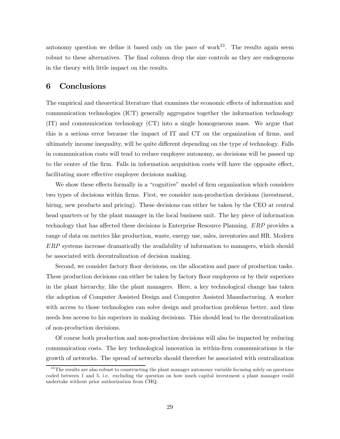autonomy question we define it based only on the pace of work $33$ . The results again seem robust to these alternatives. The final column drop the size controls as they are endogenous in the theory with little impact on the results.

# 6 Conclusions

The empirical and theoretical literature that examines the economic effects of information and communication technologies (ICT) generally aggregates together the information technology (IT) and communication technology (CT) into a single homogeneous mass. We argue that this is a serious error because the impact of IT and CT on the organization of firms, and ultimately income inequality, will be quite different depending on the type of technology. Falls in communication costs will tend to reduce employee autonomy, as decisions will be passed up to the centre of the firm. Falls in information acquisition costs will have the opposite effect, facilitating more effective employee decisions making.

We show these effects formally in a "cognitive" model of firm organization which considers two types of decisions within firms. First, we consider non-production decisions (investment, hiring, new products and pricing). These decisions can either be taken by the CEO at central head quarters or by the plant manager in the local business unit. The key piece of information technology that has affected these decisions is Enterprise Resource Planning. ERP provides a range of data on metrics like production, waste, energy use, sales, inventories and HR. Modern ERP systems increase dramatically the availability of information to managers, which should be associated with decentralization of decision making.

Second, we consider factory floor decisions, on the allocation and pace of production tasks. These production decisions can either be taken by factory floor employees or by their superiors in the plant hierarchy, like the plant managers. Here, a key technological change has taken the adoption of Computer Assisted Design and Computer Assisted Manufacturing. A worker with access to those technologies can solve design and production problems better, and thus needs less access to his superiors in making decisions. This should lead to the decentralization of non-production decisions.

Of course both production and non-production decisions will also be impacted by reducing communication costs. The key technological innovation in within-firm communications is the growth of networks. The spread of networks should therefore be associated with centralization

 $33$  The results are also robust to constructing the plant manager autonomy variable focusing solely on questions coded between 1 and 5, i.e. excluding the question on how much capital investment a plant manager could undertake without prior authorization from CHQ.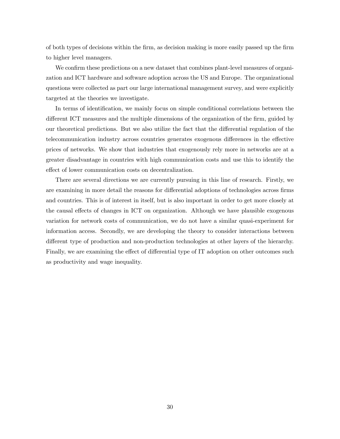of both types of decisions within the firm, as decision making is more easily passed up the firm to higher level managers.

We confirm these predictions on a new dataset that combines plant-level measures of organization and ICT hardware and software adoption across the US and Europe. The organizational questions were collected as part our large international management survey, and were explicitly targeted at the theories we investigate.

In terms of identification, we mainly focus on simple conditional correlations between the different ICT measures and the multiple dimensions of the organization of the firm, guided by our theoretical predictions. But we also utilize the fact that the differential regulation of the telecommunication industry across countries generates exogenous differences in the effective prices of networks. We show that industries that exogenously rely more in networks are at a greater disadvantage in countries with high communication costs and use this to identify the effect of lower communication costs on decentralization.

There are several directions we are currently pursuing in this line of research. Firstly, we are examining in more detail the reasons for differential adoptions of technologies across firms and countries. This is of interest in itself, but is also important in order to get more closely at the causal effects of changes in ICT on organization. Although we have plausible exogenous variation for network costs of communication, we do not have a similar quasi-experiment for information access. Secondly, we are developing the theory to consider interactions between different type of production and non-production technologies at other layers of the hierarchy. Finally, we are examining the effect of differential type of IT adoption on other outcomes such as productivity and wage inequality.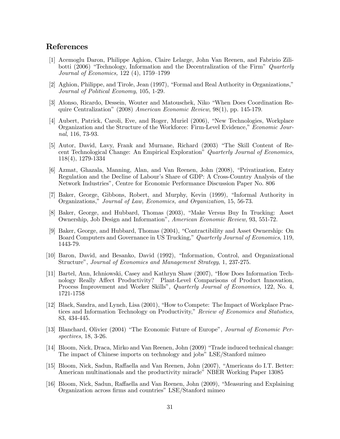## References

- [1] Acemoglu Daron, Philippe Aghion, Claire Lelarge, John Van Reenen, and Fabrizio Zilibotti (2006) "Technology, Information and the Decentralization of the Firm" Quarterly Journal of Economics, 122 (4), 1759—1799
- [2] Aghion, Philippe, and Tirole, Jean (1997), "Formal and Real Authority in Organizations," Journal of Political Economy, 105, 1-29.
- [3] Alonso, Ricardo, Dessein, Wouter and Matouschek, Niko "When Does Coordination Require Centralization" (2008) American Economic Review, 98(1), pp. 145-179.
- [4] Aubert, Patrick, Caroli, Eve, and Roger, Muriel (2006), "New Technologies, Workplace Organization and the Structure of the Workforce: Firm-Level Evidence," Economic Journal, 116, 73-93.
- [5] Autor, David, Lavy, Frank and Murnane, Richard (2003) "The Skill Content of Recent Technological Change: An Empirical Exploration" Quarterly Journal of Economics, 118(4), 1279-1334
- [6] Azmat, Ghazala, Manning, Alan, and Van Reenen, John (2008), "Privatization, Entry Regulation and the Decline of Labour's Share of GDP: A Cross-Country Analysis of the Network Industries", Centre for Economic Performance Discussion Paper No. 806
- [7] Baker, George, Gibbons, Robert, and Murphy, Kevin (1999), "Informal Authority in Organizations," Journal of Law, Economics, and Organization, 15, 56-73.
- [8] Baker, George, and Hubbard, Thomas (2003), "Make Versus Buy In Trucking: Asset Ownership, Job Design and Information", American Economic Review, 93, 551-72.
- [9] Baker, George, and Hubbard, Thomas (2004), "Contractibility and Asset Ownership: On Board Computers and Governance in US Trucking," Quarterly Journal of Economics, 119, 1443-79.
- [10] Baron, David, and Besanko, David (1992), "Information, Control, and Organizational Structure", Journal of Economics and Management Strategy, 1, 237-275.
- [11] Bartel, Ann, Ichniowski, Casey and Kathryn Shaw (2007), "How Does Information Technology Really Affect Productivity? Plant-Level Comparisons of Product Innovation, Process Improvement and Worker Skills", Quarterly Journal of Economics, 122, No. 4, 1721-1758
- [12] Black, Sandra, and Lynch, Lisa (2001), "How to Compete: The Impact of Workplace Practices and Information Technology on Productivity," Review of Economics and Statistics, 83, 434-445.
- [13] Blanchard, Olivier (2004) "The Economic Future of Europe", Journal of Economic Perspectives, 18, 3-26.
- [14] Bloom, Nick, Draca, Mirko and Van Reenen, John (2009) "Trade induced technical change: The impact of Chinese imports on technology and jobs" LSE/Stanford mimeo
- [15] Bloom, Nick, Sadun, Raffaella and Van Reenen, John (2007), "Americans do I.T. Better: American multinationals and the productivity miracle" NBER Working Paper 13085
- [16] Bloom, Nick, Sadun, Raffaella and Van Reenen, John (2009), "Measuring and Explaining Organization across firms and countries" LSE/Stanford mimeo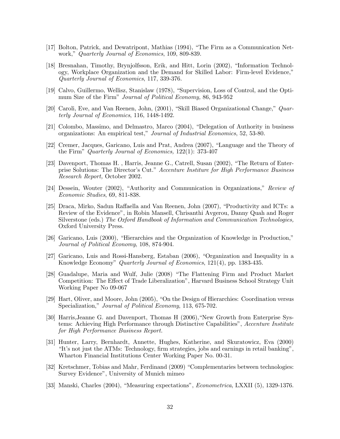- [17] Bolton, Patrick, and Dewatripont, Mathias (1994), "The Firm as a Communication Network," Quarterly Journal of Economics, 109, 809-839.
- [18] Bresnahan, Timothy, Brynjolfsson, Erik, and Hitt, Lorin (2002), "Information Technology, Workplace Organization and the Demand for Skilled Labor: Firm-level Evidence," Quarterly Journal of Economics, 117, 339-376.
- [19] Calvo, Guillermo, Wellisz, Stanislaw (1978), "Supervision, Loss of Control, and the Optimum Size of the Firm" Journal of Political Economy, 86, 943-952
- [20] Caroli, Eve, and Van Reenen, John, (2001), "Skill Biased Organizational Change," Quarterly Journal of Economics, 116, 1448-1492.
- [21] Colombo, Massimo, and Delmastro, Marco (2004), "Delegation of Authority in business organizations: An empirical test," Journal of Industrial Economics, 52, 53-80.
- [22] Cremer, Jacques, Garicano, Luis and Prat, Andrea (2007), "Language and the Theory of the Firm" Quarterly Journal of Economics, 122(1): 373-407
- [23] Davenport, Thomas H. , Harris, Jeanne G., Catrell, Susan (2002), "The Return of Enterprise Solutions: The Director's Cut." Accenture Institure for High Performance Business Research Report, October 2002.
- [24] Dessein, Wouter (2002), "Authority and Communication in Organizations," Review of Economic Studies, 69, 811-838.
- [25] Draca, Mirko, Sadun Raffaella and Van Reenen, John (2007), "Productivity and ICTs: a Review of the Evidence", in Robin Mansell, Chrisanthi Avgerou, Danny Quah and Roger Silverstone (eds.) The Oxford Handbook of Information and Communication Technologies, Oxford University Press.
- [26] Garicano, Luis (2000), "Hierarchies and the Organization of Knowledge in Production," Journal of Political Economy, 108, 874-904.
- [27] Garicano, Luis and Rossi-Hansberg, Estaban (2006), "Organization and Inequality in a Knowledge Economy" Quarterly Journal of Economics, 121(4), pp. 1383-435.
- [28] Guadalupe, Maria and Wulf, Julie (2008) "The Flattening Firm and Product Market Competition: The Effect of Trade Liberalization", Harvard Business School Strategy Unit Working Paper No 09-067
- [29] Hart, Oliver, and Moore, John (2005), "On the Design of Hierarchies: Coordination versus Specialization," Journal of Political Economy, 113, 675-702.
- [30] Harris,Jeanne G. and Davenport, Thomas H (2006),"New Growth from Enterprise Systems: Achieving High Performance through Distinctive Capabilities", Accenture Institute for High Performance Business Report.
- [31] Hunter, Larry, Bernhardt, Annette, Hughes, Katherine, and Skuratowicz, Eva (2000) "It's not just the ATMs: Technology, firm strategies, jobs and earnings in retail banking", Wharton Financial Institutions Center Working Paper No. 00-31.
- [32] Kretschmer, Tobias and Mahr, Ferdinand (2009) "Complementaries between technologies: Survey Evidence", University of Munich mimeo
- [33] Manski, Charles (2004), "Measuring expectations", Econometrica, LXXII (5), 1329-1376.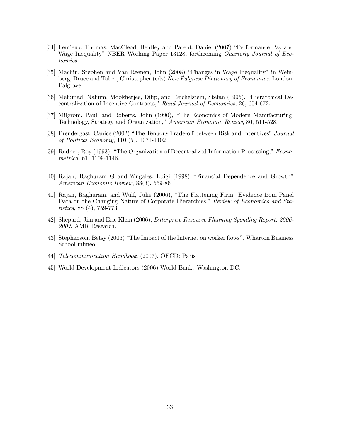- [34] Lemieux, Thomas, MacCleod, Bentley and Parent, Daniel (2007) "Performance Pay and Wage Inequality" NBER Working Paper 13128, forthcoming Quarterly Journal of Economics
- [35] Machin, Stephen and Van Reenen, John (2008) "Changes in Wage Inequality" in Weinberg, Bruce and Taber, Christopher (eds) New Palgrave Dictionary of Economics, London: Palgrave
- [36] Melumad, Nahum, Mookherjee, Dilip, and Reichelstein, Stefan (1995), "Hierarchical Decentralization of Incentive Contracts," Rand Journal of Economics, 26, 654-672.
- [37] Milgrom, Paul, and Roberts, John (1990), "The Economics of Modern Manufacturing: Technology, Strategy and Organization," American Economic Review, 80, 511-528.
- [38] Prendergast, Canice (2002) "The Tenuous Trade-off between Risk and Incentives" Journal of Political Economy, 110 (5), 1071-1102
- [39] Radner, Roy (1993), "The Organization of Decentralized Information Processing," Econometrica, 61, 1109-1146.
- [40] Rajan, Raghuram G and Zingales, Luigi (1998) "Financial Dependence and Growth" American Economic Review, 88(3), 559-86
- [41] Rajan, Raghuram, and Wulf, Julie (2006), "The Flattening Firm: Evidence from Panel Data on the Changing Nature of Corporate Hierarchies," Review of Economics and Statistics, 88 (4), 759-773
- [42] Shepard, Jim and Eric Klein (2006), Enterprise Resource Planning Spending Report, 2006- 2007. AMR Research.
- [43] Stephenson, Betsy (2006) "The Impact of the Internet on worker flows", Wharton Business School mimeo
- [44] Telecommunication Handbook, (2007), OECD: Paris
- [45] World Development Indicators (2006) World Bank: Washington DC.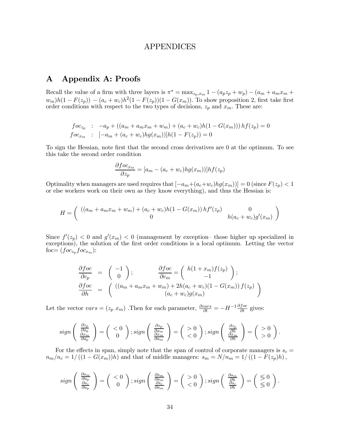## APPENDICES

# A Appendix A: Proofs

Recall the value of a firm with three layers is  $\pi^* = \max_{z_p, x_m} 1 - (a_p z_p + w_p) - (a_m + a_m x_m +$  $w_m)h(1 - F(z_p)) - (a_c + w_c)h^2(1 - F(z_p))(1 - G(x_m))$ . To show proposition 2, first take first order conditions with respect to the two types of decisions,  $z_p$  and  $x_m$ . These are:

$$
foc_{z_p} : -a_p + ((a_m + a_m x_m + w_m) + (a_c + w_c)h(1 - G(x_m)))hf(z_p) = 0
$$
  
\n
$$
foc_{x_m} : [-a_m + (a_c + w_c)hg(x_m))]h(1 - F(z_p)) = 0
$$

To sign the Hessian, note first that the second cross derivatives are 0 at the optimum. To see this take the second order condition

$$
\frac{\partial f o c_{x_m}}{\partial z_p} = [a_m - (a_c + w_c) h g(x_m)] h f(z_p)
$$

Optimality when managers are used requires that  $[-a_m+(a_c+w_c)hg(x_m))] = 0$  (since  $F(z_p) < 1$ ) or else workers work on their own as they know everything), and thus the Hessian is:

$$
H = \begin{pmatrix} ((a_m + a_m x_m + w_m) + (a_c + w_c)h(1 - G(x_m))hf'(z_p) & 0\\ 0 & h(a_c + w_c)g'(x_m) \end{pmatrix}
$$

Since  $f'(z_p) < 0$  and  $g'(x_m) < 0$  (management by exception-those higher up specialized in exceptions), the solution of the first order conditions is a local optimum. Letting the vector foc=  $(foc_{z_p}foc_{x_m})$ :

$$
\frac{\partial foc}{\partial c_p} = \begin{pmatrix} -1 \\ 0 \end{pmatrix}; \qquad \frac{\partial foc}{\partial c_m} = \begin{pmatrix} h(1+x_m)f(z_p) \\ -1 \end{pmatrix};
$$

$$
\frac{\partial foc}{\partial h} = \begin{pmatrix} ((a_m + a_m x_m + w_m) + 2h(a_c + w_c)(1 - G(x_m)) f(z_p) \\ (a_c + w_c) g(x_m) \end{pmatrix}
$$

Let the vector  $vars = (z_p x_m)$ . Then for each parameter,  $\frac{\partial vars}{\partial t} = -H^{-1} \frac{\partial foc}{\partial t}$  gives:

$$
sign\left(\begin{array}{c}\frac{\partial z_p}{\partial a_p} \\ \frac{\partial x_m}{\partial a_p}\end{array}\right) = \left(\begin{array}{c} <0\\ 0\end{array}\right); sign\left(\begin{array}{c}\frac{\partial z_p}{\partial a_m} \\ \frac{\partial x_m}{\partial a_m}\end{array}\right) = \left(\begin{array}{c} >0\\ <0\end{array}\right); sign\left(\begin{array}{c}\frac{\partial z_p}{\partial h} \\ \frac{\partial x_m}{\partial h}\end{array}\right) = \left(\begin{array}{c} >0\\ >0\end{array}\right).
$$

For the effects in span, simply note that the span of control of corporate managers is  $s_c =$  $n_m/n_c = 1/((1 - G(x_m))h)$  and that of middle managers:  $s_m = N/n_m = 1/((1 - F(z_p)h),$ 

$$
sign\left(\begin{array}{c}\frac{\partial s_m}{\partial a_p} \\ \frac{\partial s_c}{\partial a_p}\end{array}\right) = \left(\begin{array}{c} <0\\ 0\end{array}\right); sign\left(\begin{array}{c}\frac{\partial s_m}{\partial a_m} \\ \frac{\partial s_c}{\partial a_m}\end{array}\right) = \left(\begin{array}{c} >0\\ <0\end{array}\right); sign\left(\begin{array}{c}\frac{\partial s_m}{\partial h} \\ \frac{\partial s_c}{\partial h}\end{array}\right) = \left(\begin{array}{c} \leq 0\\ \leq 0\end{array}\right).
$$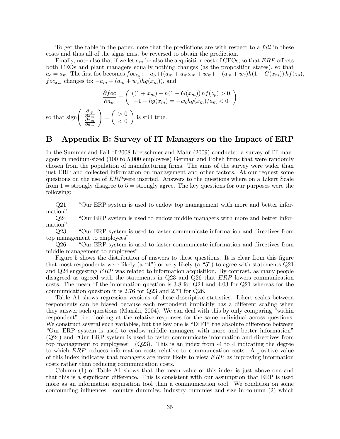To get the table in the paper, note that the predictions are with respect to a fall in these costs and thus all of the signs must be reversed to obtain the prediction.

Finally, note also that if we let  $a_m$  be also the acquisition cost of CEOs, so that  $ERP$  affects both CEOs and plant managers equally nothing changes (as the proposition states), so that  $a_c = a_m$ . The first foc becomes  $foc_{z_p}$ :  $-a_p + ((a_m + a_m x_m + w_m) + (a_m + w_c)h(1 - G(x_m))hf(z_p),$  $foc_{x_m}$  changes to:  $-a_m + (a_m + w_c)hg(x_m)$ , and

$$
\frac{\partial foc}{\partial a_m} = \left( \begin{array}{c} \left( (1+x_m) + h(1-G(x_m)) h f(z_p) > 0 \{-1 + h g(x_m) = -w_c h g(x_m) / a_m < 0 \end{array} \right) \right)
$$

so that sign  $\begin{pmatrix} \frac{\partial z_p}{\partial a_m} \\ \frac{\partial x_m}{\partial x_m} \end{pmatrix}$  $\overline{\partial a_m}$ !  $=\begin{pmatrix} >0 \\ >0 \end{pmatrix}$  $< 0$  $\setminus$ is still true.

### B Appendix B: Survey of IT Managers on the Impact of ERP

In the Summer and Fall of 2008 Kretschmer and Mahr (2009) conducted a survey of IT managers in medium-sized (100 to 5,000 employees) German and Polish firms that were randomly chosen from the population of manufacturing firms. The aims of the survey were wider than just ERP and collected information on management and other factors. At our request some questions on the use of ERPwere inserted. Answers to the questions where on a Likert Scale from  $1 =$  strongly disagree to  $5 =$  strongly agree. The key questions for our purposes were the following:

Q21 "Our ERP system is used to endow top management with more and better information"

Q24 "Our ERP system is used to endow middle managers with more and better information"

Q23 "Our ERP system is used to faster communicate information and directives from top management to employees"

Q26 "Our ERP system is used to faster communicate information and directives from middle management to employees"

Figure 5 shows the distribution of answers to these questions. It is clear from this figure that most respondents were likely (a "4") or very likely (a "5") to agree with statements Q21 and Q24 suggesting ERP was related to information acquisition. By contrast, as many people disagreed as agreed with the statements in Q23 and Q26 that ERP lowers communication costs. The mean of the information question is 3.8 for Q24 and 4.03 for Q21 whereas for the communication question it is 2.76 for Q23 and 2.71 for Q26.

Table A1 shows regression versions of these descriptive statistics. Likert scales between respondents can be biased because each respondent implicitly has a different scaling when they answer such questions (Manski, 2004). We can deal with this by only comparing "within respondent", i.e. looking at the relative responses for the same individual across questions. We construct several such variables, but the key one is "DIF1" the absolute difference between "Our ERP system is used to endow middle managers with more and better information" (Q24) and "Our ERP system is used to faster communicate information and directives from top management to employees" (Q23). This is an index from -4 to 4 indicating the degree to which ERP reduces information costs relative to communication costs. A positive value of this index indicates that managers are more likely to view ERP as improving information costs rather than reducing communication costs.

Column (1) of Table A1 shows that the mean value of this index is just above one and that this is a significant difference. This is consistent with our assumption that ERP is used more as an information acquisition tool than a communication tool. We condition on some confounding influences - country dummies, industry dummies and size in column (2) which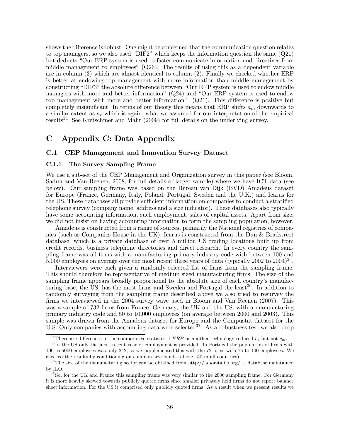shows the difference is robust. One might be concerned that the communication question relates to top managers, so we also used "DIF2" which keeps the information question the same (Q21) but deducts "Our ERP system is used to faster communicate information and directives from middle management to employees" (Q26). The results of using this as a dependent variable are in column (3) which are almost identical to column (2). Finally we checked whether ERP is better at endowing top management with more information than middle management by constructing "DIF3" the absolute difference between "Our ERP system is used to endow middle managers with more and better information" (Q24) and "Our ERP system is used to endow top management with more and better information" (Q21). This difference is positive but completely insignificant. In terms of our theory this means that ERP shifts  $a_m$  downwards to a similar extent as  $a<sub>c</sub>$  which is again, what we assumed for our interpretation of the empirical results34. See Kretschmer and Mahr (2009) for full details on the underlying survey.

# C Appendix C: Data Appendix

#### C.1 CEP Management and Innovation Survey Dataset

#### C.1.1 The Survey Sampling Frame

We use a sub-set of the CEP Management and Organization survey in this paper (see Bloom, Sadun and Van Reenen, 2008, for full details of larger sample) where we have ICT data (see below). Our sampling frame was based on the Bureau van Dijk (BVD) Amadeus dataset for Europe (France, Germany, Italy, Poland, Portugal, Sweden and the U.K.) and Icarus for the US. These databases all provide sufficient information on companies to conduct a stratified telephone survey (company name, address and a size indicator). These databases also typically have some accounting information, such employment, sales of capital assets. Apart from size, we did not insist on having accounting information to form the sampling population, however.

Amadeus is constructed from a range of sources, primarily the National registries of companies (such as Companies House in the UK). Icarus is constructed from the Dun & Bradstreet database, which is a private database of over 5 million US trading locations built up from credit records, business telephone directories and direct research. In every country the sampling frame was all firms with a manufacturing primary industry code with between 100 and 5,000 employees on average over the most recent three years of data (typically 2002 to  $2004$ )<sup>35</sup>.

Interviewers were each given a randomly selected list of firms from the sampling frame. This should therefore be representative of medium sized manufacturing firms. The size of the sampling frame appears broadly proportional to the absolute size of each country's manufacturing base, the US, has the most firms and Sweden and Portugal the least<sup>36</sup>. In addition to randomly surveying from the sampling frame described above we also tried to resurvey the firms we interviewed in the 2004 survey wave used in Bloom and Van Reenen (2007). This was a sample of 732 firms from France, Germany, the UK and the US, with a manufacturing primary industry code and 50 to 10,000 employees (on average between 2000 and 2003). This sample was drawn from the Amadeus dataset for Europe and the Compustat dataset for the U.S. Only companies with accounting data were selected<sup>37</sup>. As a robustness test we also drop

<sup>&</sup>lt;sup>34</sup>There are differences in the comparative statistes if ERP or another technology reduced  $c_c$  but not  $c_m$ .

<sup>&</sup>lt;sup>35</sup>In the US only the most recent year of employment is provided. In Portugal the population of firms with 100 to 5000 employees was only 242, so we supplemented this with the 72 firms with 75 to 100 employees. We checked the results by conditioning on common size bands (above 150 in all countries).

<sup>&</sup>lt;sup>36</sup>The size of the manufacturing sector can be obtained from http://laborsta.ilo.org/, a database maintained by ILO.

<sup>&</sup>lt;sup>37</sup>So, for the UK and France this sampling frame was very similar to the 2006 sampling frame. For Germany it is more heavily skewed towards publicly quoted firms since smaller privately held firms do not report balance sheet information. For the US it comprised only publicly quoted firms. As a result when we present results we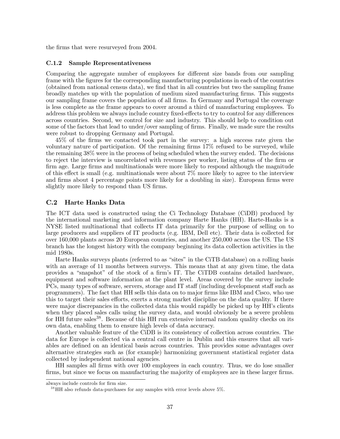the firms that were resurveyed from 2004.

#### C.1.2 Sample Representativeness

Comparing the aggregate number of employees for different size bands from our sampling frame with the figures for the corresponding manufacturing populations in each of the countries (obtained from national census data), we find that in all countries but two the sampling frame broadly matches up with the population of medium sized manufacturing firms. This suggests our sampling frame covers the population of all firms. In Germany and Portugal the coverage is less complete as the frame appears to cover around a third of manufacturing employees. To address this problem we always include country fixed-effects to try to control for any differences across countries. Second, we control for size and industry. This should help to condition out some of the factors that lead to under/over sampling of firms. Finally, we made sure the results were robust to dropping Germany and Portugal.

45% of the firms we contacted took part in the survey: a high success rate given the voluntary nature of participation. Of the remaining firms 17% refused to be surveyed, while the remaining 38% were in the process of being scheduled when the survey ended. The decisions to reject the interview is uncorrelated with revenues per worker, listing status of the firm or firm age. Large firms and multinationals were more likely to respond although the magnitude of this effect is small (e.g. multinationals were about 7% more likely to agree to the interview and firms about 4 percentage points more likely for a doubling in size). European firms were slightly more likely to respond than US firms.

#### C.2 Harte Hanks Data

The ICT data used is constructed using the Ci Technology Database (CiDB) produced by the international marketing and information company Harte Hanks (HH). Harte-Hanks is a NYSE listed multinational that collects IT data primarily for the purpose of selling on to large producers and suppliers of IT products (e.g. IBM, Dell etc). Their data is collected for over 160,000 plants across 20 European countries, and another 250,000 across the US. The US branch has the longest history with the company beginning its data collection activities in the mid 1980s.

Harte Hanks surveys plants (referred to as "sites" in the CiTB database) on a rolling basis with an average of 11 months between surveys. This means that at any given time, the data provides a "snapshot" of the stock of a firm's IT. The CiTDB contains detailed hardware, equipment and software information at the plant level. Areas covered by the survey include PCs, many types of software, servers, storage and IT staff (including development staff such as programmers). The fact that HH sells this data on to major firms like IBM and Cisco, who use this to target their sales efforts, exerts a strong market discipline on the data quality. If there were major discrepancies in the collected data this would rapidly be picked up by HH's clients when they placed sales calls using the survey data, and would obviously be a severe problem for HH future sales<sup>38</sup>. Because of this HH run extensive internal random quality checks on its own data, enabling them to ensure high levels of data accuracy.

Another valuable feature of the CiDB is its consistency of collection across countries. The data for Europe is collected via a central call centre in Dublin and this ensures that all variables are defined on an identical basis across countries. This provides some advantages over alternative strategies such as (for example) harmonizing government statistical register data collected by independent national agencies.

HH samples all firms with over 100 employees in each country. Thus, we do lose smaller firms, but since we focus on manufacturing the majority of employees are in these larger firms.

always include controls for firm size.

 $38$  HH also refunds data-purchases for any samples with error levels above  $5\%$ .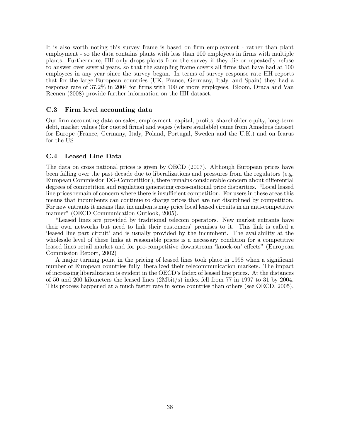It is also worth noting this survey frame is based on firm employment - rather than plant employment - so the data contains plants with less than 100 employees in firms with multiple plants. Furthermore, HH only drops plants from the survey if they die or repeatedly refuse to answer over several years, so that the sampling frame covers all firms that have had at 100 employees in any year since the survey began. In terms of survey response rate HH reports that for the large European countries (UK, France, Germany, Italy, and Spain) they had a response rate of 37.2% in 2004 for firms with 100 or more employees. Bloom, Draca and Van Reenen (2008) provide further information on the HH dataset.

#### C.3 Firm level accounting data

Our firm accounting data on sales, employment, capital, profits, shareholder equity, long-term debt, market values (for quoted firms) and wages (where available) came from Amadeus dataset for Europe (France, Germany, Italy, Poland, Portugal, Sweden and the U.K.) and on Icarus for the US

#### C.4 Leased Line Data

The data on cross national prices is given by OECD (2007). Although European prices have been falling over the past decade due to liberalizations and pressures from the regulators (e.g. European Commission DG-Competition), there remains considerable concern about differential degrees of competition and regulation generating cross-national price disparities. "Local leased line prices remain of concern where there is insufficient competition. For users in these areas this means that incumbents can continue to charge prices that are not disciplined by competition. For new entrants it means that incumbents may price local leased circuits in an anti-competitive manner" (OECD Communication Outlook, 2005).

"Leased lines are provided by traditional telecom operators. New market entrants have their own networks but need to link their customers' premises to it. This link is called a 'leased line part circuit' and is usually provided by the incumbent. The availability at the wholesale level of these links at reasonable prices is a necessary condition for a competitive leased lines retail market and for pro-competitive downstream 'knock-on' effects" (European Commission Report, 2002)

A major turning point in the pricing of leased lines took place in 1998 when a significant number of European countries fully liberalized their telecommunication markets. The impact of increasing liberalization is evident in the OECD's Index of leased line prices. At the distances of 50 and 200 kilometers the leased lines (2Mbit/s) index fell from 77 in 1997 to 31 by 2004. This process happened at a much faster rate in some countries than others (see OECD, 2005).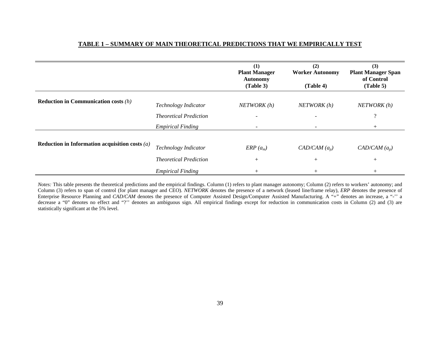## **TABLE 1 – SUMMARY OF MAIN THEORETICAL PREDICTIONS THAT WE EMPIRICALLY TEST**

|                                                  |                               | (1)<br><b>Plant Manager</b><br><b>Autonomy</b><br>(Table 3) | (2)<br><b>Worker Autonomy</b><br>(Table 4) | (3)<br><b>Plant Manager Span</b><br>of Control<br>(Table 5) |
|--------------------------------------------------|-------------------------------|-------------------------------------------------------------|--------------------------------------------|-------------------------------------------------------------|
| <b>Reduction in Communication costs (h)</b>      | Technology Indicator          | NETWORK(h)                                                  | NETWORK(h)                                 | NETWORK(h)                                                  |
|                                                  | <b>Theoretical Prediction</b> |                                                             |                                            | $\mathcal{Q}$                                               |
|                                                  | <b>Empirical Finding</b>      |                                                             |                                            |                                                             |
| Reduction in Information acquisition costs $(a)$ | Technology Indicator          | $ERP(a_m)$                                                  | $CAD/CAM(a_p)$                             | $CAD/CAM(a_p)$                                              |
|                                                  | <b>Theoretical Prediction</b> | $^{+}$                                                      | $^{+}$                                     | $^{+}$                                                      |
|                                                  | <b>Empirical Finding</b>      | $^{+}$                                                      | $\pm$                                      |                                                             |

*Notes:* This table presents the theoretical predictions and the empirical findings. Column (1) refers to plant manager autonomy; Column (2) refers to workers' autonomy; and Column (3) refers to span of control (for plant manager and CEO). *NETWORK* denotes the presence of a network (leased line/frame relay), *ERP* denotes the presence of Enterprise Resource Planning and *CAD/CAM* denotes the presence of Computer Assisted Design/Computer Assisted Manufacturing. A "+" denotes an increase, a "-" a decrease a "0" denotes no effect and "?" denotes an ambiguous sign. All empirical findings except for reduction in communication costs in Column (2) and (3) are statistically significant at the 5% level.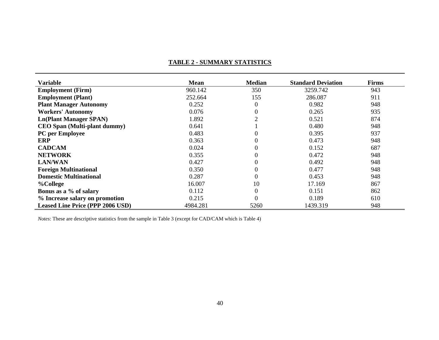#### **TABLE 2 - SUMMARY STATISTICS**

| <b>Variable</b>                         | <b>Mean</b> | <b>Median</b>    | <b>Standard Deviation</b> | <b>Firms</b> |
|-----------------------------------------|-------------|------------------|---------------------------|--------------|
| <b>Employment</b> (Firm)                | 960.142     | 350              | 3259.742                  | 943          |
| <b>Employment (Plant)</b>               | 252.664     | 155              | 286.087                   | 911          |
| <b>Plant Manager Autonomy</b>           | 0.252       | $\boldsymbol{0}$ | 0.982                     | 948          |
| <b>Workers' Autonomy</b>                | 0.076       | $\overline{0}$   | 0.265                     | 935          |
| <b>Ln(Plant Manager SPAN)</b>           | 1.892       |                  | 0.521                     | 874          |
| <b>CEO Span (Multi-plant dummy)</b>     | 0.641       |                  | 0.480                     | 948          |
| PC per Employee                         | 0.483       | $\theta$         | 0.395                     | 937          |
| <b>ERP</b>                              | 0.363       | $\theta$         | 0.473                     | 948          |
| <b>CADCAM</b>                           | 0.024       | $\overline{0}$   | 0.152                     | 687          |
| <b>NETWORK</b>                          | 0.355       | $\theta$         | 0.472                     | 948          |
| <b>LAN/WAN</b>                          | 0.427       | $\overline{0}$   | 0.492                     | 948          |
| <b>Foreign Multinational</b>            | 0.350       | $\overline{0}$   | 0.477                     | 948          |
| <b>Domestic Multinational</b>           | 0.287       | $\overline{0}$   | 0.453                     | 948          |
| %College                                | 16.007      | 10               | 17.169                    | 867          |
| Bonus as a % of salary                  | 0.112       | $\overline{0}$   | 0.151                     | 862          |
| % Increase salary on promotion          | 0.215       | $\theta$         | 0.189                     | 610          |
| <b>Leased Line Price (PPP 2006 USD)</b> | 4984.281    | 5260             | 1439.319                  | 948          |

*Notes*: These are descriptive statistics from the sample in Table 3 (except for CAD/CAM which is Table 4)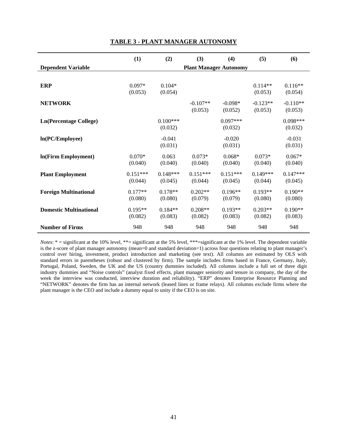|                               | (1)        | (2)        | (3)        | (4)                           | (5)        | (6)        |
|-------------------------------|------------|------------|------------|-------------------------------|------------|------------|
| <b>Dependent Variable</b>     |            |            |            | <b>Plant Manager Autonomy</b> |            |            |
|                               |            |            |            |                               |            |            |
| <b>ERP</b>                    | $0.097*$   | $0.104*$   |            |                               | $0.114**$  | $0.116**$  |
|                               | (0.053)    | (0.054)    |            |                               | (0.053)    | (0.054)    |
| <b>NETWORK</b>                |            |            | $-0.107**$ | $-0.098*$                     | $-0.123**$ | $-0.110**$ |
|                               |            |            | (0.053)    | (0.052)                       | (0.053)    | (0.053)    |
| <b>Ln(Percentage College)</b> |            | $0.100***$ |            | $0.097***$                    |            | $0.098***$ |
|                               |            | (0.032)    |            | (0.032)                       |            | (0.032)    |
| In(PC/Employee)               |            | $-0.041$   |            | $-0.020$                      |            | $-0.031$   |
|                               |            | (0.031)    |            | (0.031)                       |            | (0.031)    |
| In(Firm Employment)           | $0.070*$   | 0.063      | $0.073*$   | $0.068*$                      | $0.073*$   | $0.067*$   |
|                               | (0.040)    | (0.040)    | (0.040)    | (0.040)                       | (0.040)    | (0.040)    |
| <b>Plant Employment</b>       | $0.151***$ | $0.148***$ | $0.151***$ | $0.151***$                    | $0.149***$ | $0.147***$ |
|                               | (0.044)    | (0.045)    | (0.044)    | (0.045)                       | (0.044)    | (0.045)    |
| <b>Foreign Multinational</b>  | $0.177**$  | $0.178**$  | $0.202**$  | $0.196**$                     | $0.193**$  | $0.190**$  |
|                               | (0.080)    | (0.080)    | (0.079)    | (0.079)                       | (0.080)    | (0.080)    |
| <b>Domestic Multinational</b> | $0.195**$  | $0.184**$  | $0.208**$  | $0.193**$                     | $0.203**$  | $0.190**$  |
|                               | (0.082)    | (0.083)    | (0.082)    | (0.083)                       | (0.082)    | (0.083)    |
| <b>Number of Firms</b>        | 948        | 948        | 948        | 948                           | 948        | 948        |

#### **TABLE 3 - PLANT MANAGER AUTONOMY**

*Notes*: \* = significant at the 10% level, \*\*= significant at the 5% level, \*\*\*= significant at the 1% level. The dependent variable is the z-score of plant manager autonomy (mean=0 and standard deviation=1) across four questions relating to plant manager's control over hiring, investment, product introduction and marketing (see text). All columns are estimated by OLS with standard errors in parentheses (robust and clustered by firm). The sample includes firms based in France, Germany, Italy, Portugal, Poland, Sweden, the UK and the US (country dummies included). All columns include a full set of three digit industry dummies and "Noise controls" (analyst fixed effects, plant manager seniority and tenure in company, the day of the week the interview was conducted, interview duration and reliability). "ERP" denotes Enterprise Resource Planning and "NETWORK" denotes the firm has an internal network (leased lines or frame relays). All columns exclude firms where the plant manager is the CEO and include a dummy equal to unity if the CEO is on site.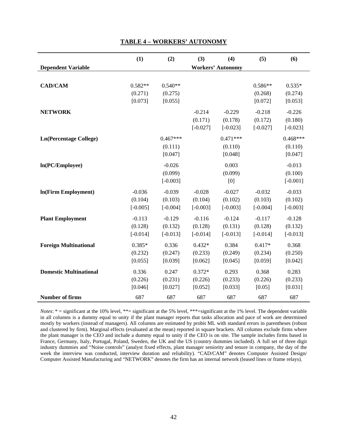|                               | (1)        | (2)        | (3)        | (4)                      | (5)        | (6)        |
|-------------------------------|------------|------------|------------|--------------------------|------------|------------|
| <b>Dependent Variable</b>     |            |            |            | <b>Workers' Autonomy</b> |            |            |
|                               |            |            |            |                          |            |            |
| <b>CAD/CAM</b>                | $0.582**$  | $0.540**$  |            |                          | $0.586**$  | $0.535*$   |
|                               | (0.271)    | (0.275)    |            |                          | (0.268)    | (0.274)    |
|                               | [0.073]    | [0.055]    |            |                          | [0.072]    | [0.053]    |
|                               |            |            |            |                          |            |            |
| <b>NETWORK</b>                |            |            | $-0.214$   | $-0.229$                 | $-0.218$   | $-0.226$   |
|                               |            |            | (0.171)    | (0.178)                  | (0.172)    | (0.180)    |
|                               |            |            | $[-0.027]$ | $[-0.023]$               | $[-0.027]$ | $[-0.023]$ |
| <b>Ln(Percentage College)</b> |            | $0.467***$ |            | $0.471***$               |            | $0.468***$ |
|                               |            | (0.111)    |            | (0.110)                  |            | (0.110)    |
|                               |            | [0.047]    |            | [0.048]                  |            | [0.047]    |
| ln(PC/Employee)               |            | $-0.026$   |            | 0.003                    |            | $-0.013$   |
|                               |            | (0.099)    |            | (0.099)                  |            | (0.100)    |
|                               |            | $[-0.003]$ |            | [0]                      |            | $[-0.001]$ |
| In(Firm Employment)           | $-0.036$   | $-0.039$   | $-0.028$   | $-0.027$                 | $-0.032$   | $-0.033$   |
|                               | (0.104)    | (0.103)    | (0.104)    | (0.102)                  | (0.103)    | (0.102)    |
|                               | $[-0.005]$ | $[-0.004]$ | $[-0.003]$ | $[-0.003]$               | $[-0.004]$ | $[-0.003]$ |
|                               |            |            |            |                          |            |            |
| <b>Plant Employment</b>       | $-0.113$   | $-0.129$   | $-0.116$   | $-0.124$                 | $-0.117$   | $-0.128$   |
|                               | (0.128)    | (0.132)    | (0.128)    | (0.131)                  | (0.128)    | (0.132)    |
|                               | $[-0.014]$ | $[-0.013]$ | $[-0.014]$ | $[-0.013]$               | $[-0.014]$ | $[-0.013]$ |
| <b>Foreign Multinational</b>  | $0.385*$   | 0.336      | $0.432*$   | 0.384                    | $0.417*$   | 0.368      |
|                               | (0.232)    | (0.247)    | (0.233)    | (0.249)                  | (0.234)    | (0.250)    |
|                               | [0.055]    | [0.039]    | [0.062]    | [0.045]                  | [0.059]    | [0.042]    |
| <b>Domestic Multinational</b> | 0.336      | 0.247      | $0.372*$   | 0.293                    | 0.368      | 0.283      |
|                               | (0.226)    | (0.231)    | (0.226)    | (0.233)                  | (0.226)    | (0.233)    |
|                               | [0.046]    | [0.027]    | [0.052]    | [0.033]                  | [0.05]     | [0.031]    |
| <b>Number of firms</b>        | 687        | 687        | 687        | 687                      | 687        | 687        |

#### **TABLE 4 – WORKERS' AUTONOMY**

*Notes*: \* = significant at the 10% level, \*\*= significant at the 5% level, \*\*\*= significant at the 1% level. The dependent variable in all columns is a dummy equal to unity if the plant manager reports that tasks allocation and pace of work are determined mostly by workers (instead of managers). All columns are estimated by probit ML with standard errors in parentheses (robust and clustered by firm). Marginal effects (evaluated at the mean) reported in square brackets. All columns exclude firms where the plant manager is the CEO and include a dummy equal to unity if the CEO is on site. The sample includes firms based in France, Germany, Italy, Portugal, Poland, Sweden, the UK and the US (country dummies included). A full set of three digit industry dummies and "Noise controls" (analyst fixed effects, plant manager seniority and tenure in company, the day of the week the interview was conducted, interview duration and reliability). "CAD/CAM" denotes Computer Assisted Design/ Computer Assisted Manufacturing and "NETWORK" denotes the firm has an internal network (leased lines or frame relays).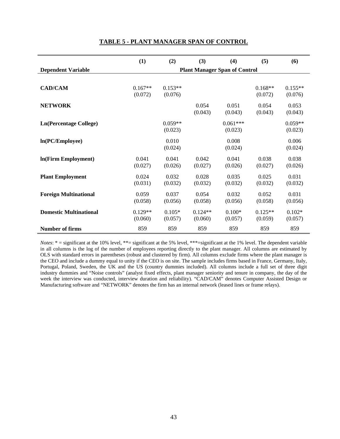|                               | (1)                                  | (2)       | (3)       | (4)        | (5)       | (6)       |  |
|-------------------------------|--------------------------------------|-----------|-----------|------------|-----------|-----------|--|
| <b>Dependent Variable</b>     | <b>Plant Manager Span of Control</b> |           |           |            |           |           |  |
|                               |                                      |           |           |            |           |           |  |
| <b>CAD/CAM</b>                | $0.167**$                            | $0.153**$ |           |            | $0.168**$ | $0.155**$ |  |
|                               | (0.072)                              | (0.076)   |           |            | (0.072)   | (0.076)   |  |
| <b>NETWORK</b>                |                                      |           | 0.054     | 0.051      | 0.054     | 0.053     |  |
|                               |                                      |           | (0.043)   | (0.043)    | (0.043)   | (0.043)   |  |
| <b>Ln(Percentage College)</b> |                                      | $0.059**$ |           | $0.061***$ |           | $0.059**$ |  |
|                               |                                      | (0.023)   |           | (0.023)    |           | (0.023)   |  |
| In(PC/Employee)               |                                      | 0.010     |           | 0.008      |           | 0.006     |  |
|                               |                                      | (0.024)   |           | (0.024)    |           | (0.024)   |  |
| In(Firm Employment)           | 0.041                                | 0.041     | 0.042     | 0.041      | 0.038     | 0.038     |  |
|                               | (0.027)                              | (0.026)   | (0.027)   | (0.026)    | (0.027)   | (0.026)   |  |
| <b>Plant Employment</b>       | 0.024                                | 0.032     | 0.028     | 0.035      | 0.025     | 0.031     |  |
|                               | (0.031)                              | (0.032)   | (0.032)   | (0.032)    | (0.032)   | (0.032)   |  |
| <b>Foreign Multinational</b>  | 0.059                                | 0.037     | 0.054     | 0.032      | 0.052     | 0.031     |  |
|                               | (0.058)                              | (0.056)   | (0.058)   | (0.056)    | (0.058)   | (0.056)   |  |
| <b>Domestic Multinational</b> | $0.129**$                            | $0.105*$  | $0.124**$ | $0.100*$   | $0.125**$ | $0.102*$  |  |
|                               | (0.060)                              | (0.057)   | (0.060)   | (0.057)    | (0.059)   | (0.057)   |  |
| <b>Number of firms</b>        | 859                                  | 859       | 859       | 859        | 859       | 859       |  |

#### **TABLE 5 - PLANT MANAGER SPAN OF CONTROL**

*Notes*: \* = significant at the 10% level, \*\*= significant at the 5% level, \*\*\*= significant at the 1% level. The dependent variable in all columns is the log of the number of employees reporting directly to the plant manager. All columns are estimated by OLS with standard errors in parentheses (robust and clustered by firm). All columns exclude firms where the plant manager is the CEO and include a dummy equal to unity if the CEO is on site. The sample includes firms based in France, Germany, Italy, Portugal, Poland, Sweden, the UK and the US (country dummies included). All columns include a full set of three digit industry dummies and "Noise controls" (analyst fixed effects, plant manager seniority and tenure in company, the day of the week the interview was conducted, interview duration and reliability). "CAD/CAM" denotes Computer Assisted Design or Manufacturing software and "NETWORK" denotes the firm has an internal network (leased lines or frame relays).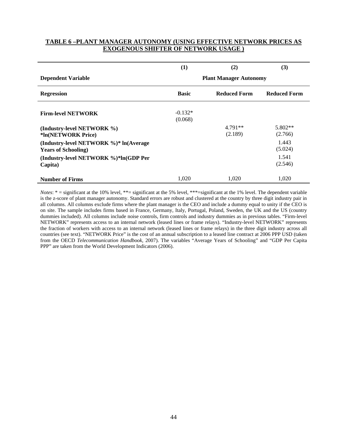#### **TABLE 6 –PLANT MANAGER AUTONOMY (USING EFFECTIVE NETWORK PRICES AS EXOGENOUS SHIFTER OF NETWORK USAGE )**

|                                                                       | (1)                  | (2)                           | (3)                  |
|-----------------------------------------------------------------------|----------------------|-------------------------------|----------------------|
| <b>Dependent Variable</b>                                             |                      | <b>Plant Manager Autonomy</b> |                      |
| <b>Regression</b>                                                     | <b>Basic</b>         | <b>Reduced Form</b>           | <b>Reduced Form</b>  |
| <b>Firm-level NETWORK</b>                                             | $-0.132*$<br>(0.068) |                               |                      |
| (Industry-level NETWORK %)<br>*ln(NETWORK Price)                      |                      | $4.791**$<br>(2.189)          | $5.802**$<br>(2.766) |
| (Industry-level NETWORK %)* ln(Average<br><b>Years of Schooling</b> ) |                      |                               | 1.443<br>(5.024)     |
| (Industry-level NETWORK %)*ln(GDP Per<br>Capita)                      |                      |                               | 1.541<br>(2.546)     |
| <b>Number of Firms</b>                                                | 1,020                | 1,020                         | 1,020                |

*Notes*: \* = significant at the 10% level, \*\*= significant at the 5% level, \*\*\*= significant at the 1% level. The dependent variable is the z-score of plant manager autonomy. Standard errors are robust and clustered at the country by three digit industry pair in all columns. All columns exclude firms where the plant manager is the CEO and include a dummy equal to unity if the CEO is on site. The sample includes firms based in France, Germany, Italy, Portugal, Poland, Sweden, the UK and the US (country dummies included). All columns include noise controls, firm controls and industry dummies as in previous tables. "Firm-level NETWORK" represents access to an internal network (leased lines or frame relays). "Industry-level NETWORK" represents the fraction of workers with access to an internal network (leased lines or frame relays) in the three digit industry across all countries (see text). "NETWORK Price" is the cost of an annual subscription to a leased line contract at 2006 PPP USD (taken from the OECD *Telecommunication Handbook*, 2007). The variables "Average Years of Schooling" and "GDP Per Capita PPP" are taken from the World Development Indicators (2006).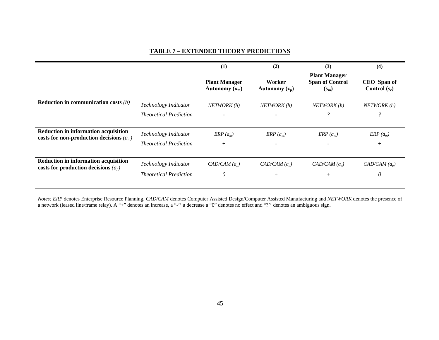### **TABLE 7 – EXTENDED THEORY PREDICTIONS**

|                                                                                           |                                                       | $\bf(1)$                                 | (2)                        | (3)                                                       | (4)                            |
|-------------------------------------------------------------------------------------------|-------------------------------------------------------|------------------------------------------|----------------------------|-----------------------------------------------------------|--------------------------------|
|                                                                                           |                                                       | <b>Plant Manager</b><br>Autonomy $(x_m)$ | Worker<br>Autonomy $(z_p)$ | <b>Plant Manager</b><br><b>Span of Control</b><br>$(s_m)$ | CEO Span of<br>Control $(s_c)$ |
| <b>Reduction in communication costs</b> $(h)$                                             | Technology Indicator<br><b>Theoretical Prediction</b> | NETWORK(h)<br>$\overline{\phantom{a}}$   | NETWORK (h)                | NETWORK (h)<br>$\mathcal{P}$                              | NETWORK (h)<br>$\mathcal{P}$   |
| <b>Reduction in information acquisition</b><br>costs for non-production decisions $(a_m)$ | Technology Indicator<br><i>Theoretical Prediction</i> | $ERP(a_m)$<br>$+$                        | $ERP(a_m)$                 | $ERP(a_m)$                                                | $ERP(a_m)$<br>$^+$             |
| Reduction in information acquisition<br>costs for production decisions $(a_n)$            | Technology Indicator<br><i>Theoretical Prediction</i> | $CAD/CAM(a_p)$<br>0                      | $CAD/CAM(a_p)$<br>$^{+}$   | $CAD/CAM(a_n)$<br>$^{+}$                                  | $CAD/CAM(a_p)$<br>0            |

*Notes: ERP* denotes Enterprise Resource Planning, *CAD/CAM* denotes Computer Assisted Design/Computer Assisted Manufacturing and *NETWORK* denotes the presence of a network (leased line/frame relay). A "+" denotes an increase, a "-'' a decrease a "0" denotes no effect and "?'' denotes an ambiguous sign.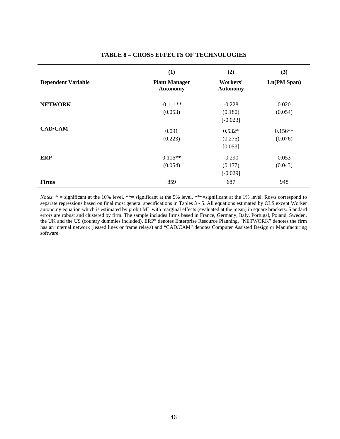|                           | (1)                                     | (2)                         | (3)         |
|---------------------------|-----------------------------------------|-----------------------------|-------------|
| <b>Dependent Variable</b> | <b>Plant Manager</b><br><b>Autonomy</b> | Workers'<br><b>Autonomy</b> | Ln(PM Span) |
| <b>NETWORK</b>            | $-0.111**$                              | $-0.228$                    | 0.020       |
|                           | (0.053)                                 | (0.180)<br>$[-0.023]$       | (0.054)     |
| <b>CAD/CAM</b>            | 0.091                                   | $0.532*$                    | $0.156**$   |
|                           | (0.223)                                 | (0.275)<br>[0.053]          | (0.076)     |
| <b>ERP</b>                | $0.116**$                               | $-0.290$                    | 0.053       |
|                           | (0.054)                                 | (0.177)<br>$[-0.029]$       | (0.043)     |
| <b>Firms</b>              | 859                                     | 687                         | 948         |

## **TABLE 8 – CROSS EFFECTS OF TECHNOLOGIES**

*Notes*: \* = significant at the 10% level, \*\*= significant at the 5% level, \*\*\*= significant at the 1% level. Rows correspond to separate regressions based on final most general specifications in Tables 3 - 5. All equations estimated by OLS except Worker autonomy equation which is estimated by probit ML with marginal effects (evaluated at the mean) in square brackets. Standard errors are robust and clustered by firm. The sample includes firms based in France, Germany, Italy, Portugal, Poland, Sweden, the UK and the US (country dummies included). ERP" denotes Enterprise Resource Planning, "NETWORK" denotes the firm has an internal network (leased lines or frame relays) and "CAD/CAM" denotes Computer Assisted Design or Manufacturing software.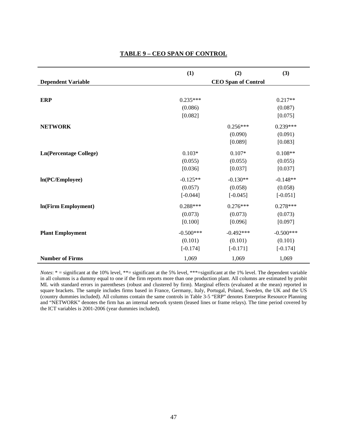|                               | (1)         | (2)                        | (3)         |
|-------------------------------|-------------|----------------------------|-------------|
| <b>Dependent Variable</b>     |             | <b>CEO Span of Control</b> |             |
|                               |             |                            |             |
| <b>ERP</b>                    | $0.235***$  |                            | $0.217**$   |
|                               | (0.086)     |                            | (0.087)     |
|                               | [0.082]     |                            | [0.075]     |
| <b>NETWORK</b>                |             | $0.256***$                 | $0.239***$  |
|                               |             | (0.090)                    | (0.091)     |
|                               |             | [0.089]                    | [0.083]     |
| <b>Ln(Percentage College)</b> | $0.103*$    | $0.107*$                   | $0.108**$   |
|                               | (0.055)     | (0.055)                    | (0.055)     |
|                               | [0.036]     | [0.037]                    | [0.037]     |
| ln(PC/Employee)               | $-0.125**$  | $-0.130**$                 | $-0.148**$  |
|                               | (0.057)     | (0.058)                    | (0.058)     |
|                               | $[-0.044]$  | $[-0.045]$                 | $[-0.051]$  |
| In(Firm Employment)           | $0.288***$  | $0.276***$                 | $0.278***$  |
|                               | (0.073)     | (0.073)                    | (0.073)     |
|                               | [0.100]     | [0.096]                    | [0.097]     |
| <b>Plant Employment</b>       | $-0.500***$ | $-0.492***$                | $-0.500***$ |
|                               | (0.101)     | (0.101)                    | (0.101)     |
|                               | $[-0.174]$  | $[-0.171]$                 | $[-0.174]$  |
| <b>Number of Firms</b>        | 1,069       | 1,069                      | 1,069       |

*Notes*: \* = significant at the 10% level, \*\*= significant at the 5% level, \*\*\*= significant at the 1% level. The dependent variable in all columns is a dummy equal to one if the firm reports more than one production plant. All columns are estimated by probit ML with standard errors in parentheses (robust and clustered by firm). Marginal effects (evaluated at the mean) reported in square brackets. The sample includes firms based in France, Germany, Italy, Portugal, Poland, Sweden, the UK and the US (country dummies included). All columns contain the same controls in Table 3-5 "ERP" denotes Enterprise Resource Planning and "NETWORK" denotes the firm has an internal network system (leased lines or frame relays). The time period covered by the ICT variables is 2001-2006 (year dummies included).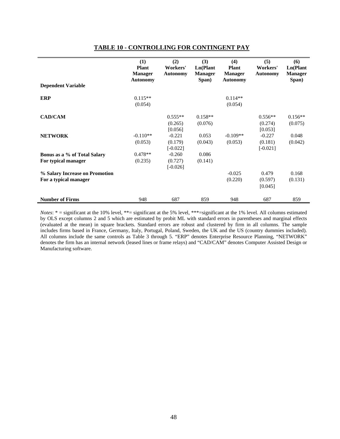|                                | (1)<br><b>Plant</b><br><b>Manager</b><br><b>Autonomy</b> | (2)<br>Workers'<br><b>Autonomy</b> | (3)<br>Ln(Plant<br><b>Manager</b><br>Span) | (4)<br><b>Plant</b><br><b>Manager</b><br><b>Autonomy</b> | (5)<br>Workers'<br><b>Autonomy</b> | (6)<br>Ln(Plant<br><b>Manager</b><br>Span) |
|--------------------------------|----------------------------------------------------------|------------------------------------|--------------------------------------------|----------------------------------------------------------|------------------------------------|--------------------------------------------|
| <b>Dependent Variable</b>      |                                                          |                                    |                                            |                                                          |                                    |                                            |
| <b>ERP</b>                     | $0.115**$<br>(0.054)                                     |                                    |                                            | $0.114**$<br>(0.054)                                     |                                    |                                            |
| <b>CAD/CAM</b>                 |                                                          | $0.555**$<br>(0.265)<br>[0.056]    | $0.158**$<br>(0.076)                       |                                                          | $0.556**$<br>(0.274)<br>[0.053]    | $0.156**$<br>(0.075)                       |
| <b>NETWORK</b>                 | $-0.110**$<br>(0.053)                                    | $-0.221$<br>(0.179)<br>$[-0.022]$  | 0.053<br>(0.043)                           | $-0.109**$<br>(0.053)                                    | $-0.227$<br>(0.181)<br>$[-0.021]$  | 0.048<br>(0.042)                           |
| Bonus as a % of Total Salary   | $0.478**$                                                | $-0.260$                           | 0.086                                      |                                                          |                                    |                                            |
| For typical manager            | (0.235)                                                  | (0.727)<br>$[-0.026]$              | (0.141)                                    |                                                          |                                    |                                            |
| % Salary Increase on Promotion |                                                          |                                    |                                            | $-0.025$                                                 | 0.479                              | 0.168                                      |
| For a typical manager          |                                                          |                                    |                                            | (0.220)                                                  | (0.597)<br>[0.045]                 | (0.131)                                    |
| <b>Number of Firms</b>         | 948                                                      | 687                                | 859                                        | 948                                                      | 687                                | 859                                        |

#### **TABLE 10 - CONTROLLING FOR CONTINGENT PAY**

*Notes*: \* = significant at the 10% level, \*\*= significant at the 5% level, \*\*\*= significant at the 1% level. All columns estimated by OLS except columns 2 and 5 which are estimated by probit ML with standard errors in parentheses and marginal effects (evaluated at the mean) in square brackets. Standard errors are robust and clustered by firm in all columns. The sample includes firms based in France, Germany, Italy, Portugal, Poland, Sweden, the UK and the US (country dummies included). All columns include the same controls as Table 3 through 5. "ERP" denotes Enterprise Resource Planning, "NETWORK" denotes the firm has an internal network (leased lines or frame relays) and "CAD/CAM" denotes Computer Assisted Design or Manufacturing software.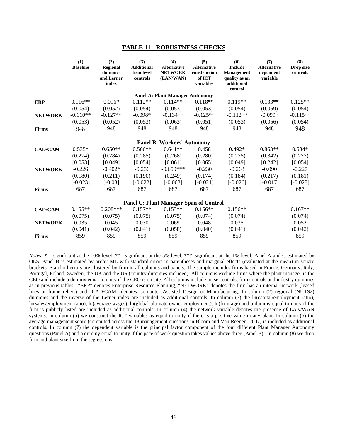|                | (1)<br><b>Baseline</b> | (2)<br><b>Regional</b><br>dummies<br>and Lerner<br>index | (3)<br><b>Additional</b><br>firm level<br>controls | (4)<br><b>Alternative</b><br><b>NETWORK</b><br>(LAN/WAN) | (5)<br><b>Alternative</b><br>construction<br>of ICT<br>variables | (6)<br><b>Include</b><br><b>Management</b><br>quality as an<br>additional<br>control | (7)<br><b>Alternative</b><br>dependent<br>variable | (8)<br>Drop size<br>controls |
|----------------|------------------------|----------------------------------------------------------|----------------------------------------------------|----------------------------------------------------------|------------------------------------------------------------------|--------------------------------------------------------------------------------------|----------------------------------------------------|------------------------------|
|                |                        |                                                          |                                                    | <b>Panel A: Plant Manager Autonomy</b>                   |                                                                  |                                                                                      |                                                    |                              |
| <b>ERP</b>     | $0.116**$              | $0.096*$                                                 | $0.112**$                                          | $0.114**$                                                | $0.118**$                                                        | $0.119**$                                                                            | $0.133**$                                          | $0.125**$                    |
|                | (0.054)                | (0.052)                                                  | (0.054)                                            | (0.053)                                                  | (0.053)                                                          | (0.054)                                                                              | (0.059)                                            | (0.054)                      |
| <b>NETWORK</b> | $-0.110**$             | $-0.127**$                                               | $-0.098*$                                          | $-0.134**$                                               | $-0.125**$                                                       | $-0.112**$                                                                           | $-0.099*$                                          | $-0.115**$                   |
|                | (0.053)                | (0.052)                                                  | (0.053)                                            | (0.063)                                                  | (0.051)                                                          | (0.053)                                                                              | (0.056)                                            | (0.054)                      |
| <b>Firms</b>   | 948                    | 948                                                      | 948                                                | 948                                                      | 948                                                              | 948                                                                                  | 948                                                | 948                          |
|                |                        |                                                          |                                                    |                                                          |                                                                  |                                                                                      |                                                    |                              |
|                |                        |                                                          |                                                    | <b>Panel B: Workers' Autonomy</b>                        |                                                                  |                                                                                      |                                                    |                              |
| <b>CAD/CAM</b> | $0.535*$               | $0.650**$                                                | $0.566**$                                          | $0.641**$                                                | 0.458                                                            | $0.492*$                                                                             | $0.863**$                                          | $0.534*$                     |
|                | (0.274)                | (0.284)                                                  | (0.285)                                            | (0.268)                                                  | (0.280)                                                          | (0.275)                                                                              | (0.342)                                            | (0.277)                      |
|                | [0.053]                | [0.049]                                                  | [0.054]                                            | [0.061]                                                  | [0.065]                                                          | [0.049]                                                                              | [0.242]                                            | [0.054]                      |
| <b>NETWORK</b> | $-0.226$               | $-0.402*$                                                | $-0.236$                                           | $-0.659***$                                              | $-0.230$                                                         | $-0.263$                                                                             | $-0.090$                                           | $-0.227$                     |
|                | (0.180)                | (0.211)                                                  | (0.190)                                            | (0.249)                                                  | (0.174)                                                          | (0.184)                                                                              | (0.217)                                            | (0.181)                      |
|                | $[-0.023]$             | $[-0.03]$                                                | $[-0.022]$                                         | $[-0.063]$                                               | $[-0.021]$                                                       | $[-0.026]$                                                                           | $[-0.017]$                                         | $[-0.023]$                   |
| <b>Firms</b>   | 687                    | 687                                                      | 687                                                | 687                                                      | 687                                                              | 687                                                                                  | 687                                                | 687                          |
|                |                        |                                                          |                                                    |                                                          |                                                                  |                                                                                      |                                                    |                              |
|                |                        |                                                          |                                                    | <b>Panel C: Plant Manager Span of Control</b>            |                                                                  |                                                                                      |                                                    |                              |
| <b>CAD/CAM</b> | $0.155**$              | $0.208***$                                               | $0.157**$                                          | $0.153**$                                                | $0.156**$                                                        | $0.156**$                                                                            |                                                    | $0.167**$                    |
|                | (0.075)                | (0.075)                                                  | (0.075)                                            | (0.075)                                                  | (0.074)                                                          | (0.074)                                                                              |                                                    | (0.074)                      |
| <b>NETWORK</b> | 0.035                  | 0.045                                                    | 0.030                                              | 0.069                                                    | 0.048                                                            | 0.035                                                                                |                                                    | 0.052                        |
|                | (0.041)                | (0.042)                                                  | (0.041)                                            | (0.058)                                                  | (0.040)                                                          | (0.041)                                                                              |                                                    | (0.042)                      |
| <b>Firms</b>   | 859                    | 859                                                      | 859                                                | 859                                                      | 859                                                              | 859                                                                                  |                                                    | 859                          |

#### **TABLE 11 - ROBUSTNESS CHECKS**

*Notes*:  $* =$  significant at the 10% level,  $** =$  significant at the 5% level,  $** =$  significant at the 1% level. Panel A and C estimated by OLS. Panel B is estimated by probit ML with standard errors in parentheses and marginal effects (evaluated at the mean) in square brackets. Standard errors are clustered by firm in all columns and panels. The sample includes firms based in France, Germany, Italy, Portugal, Poland, Sweden, the UK and the US (country dummies included). All columns exclude firms where the plant manager is the CEO and include a dummy equal to unity if the CEO is on site. All columns include noise controls, firm controls and industry dummies as in previous tables. "ERP" denotes Enterprise Resource Planning, "NETWORK" denotes the firm has an internal network (leased lines or frame relays) and "CAD/CAM" denotes Computer Assisted Design or Manufacturing. In column (2) regional (NUTS2) dummies and the inverse of the Lerner index are included as additional controls. In column (3) the ln(capital/employment ratio), ln(sales/employment ratio), ln(average wages), ln(global ultimate owner employment), ln(firm age) and a dummy equal to unity if the firm is publicly listed are included as additional controls. In column (4) the network variable denotes the presence of LAN/WAN systems. In column (5) we construct the ICT variables as equal to unity if there is a positive value in any plant. In column (6) the average management score (computed across the 18 management questions in Bloom and Van Reenen, 2007) is included as additional controls. In column (7) the dependent variable is the principal factor component of the four different Plant Manager Autonomy questions (Panel A) and a dummy equal to unity if the pace of work question takes values above three (Panel B). In column (8) we drop firm and plant size from the regressions.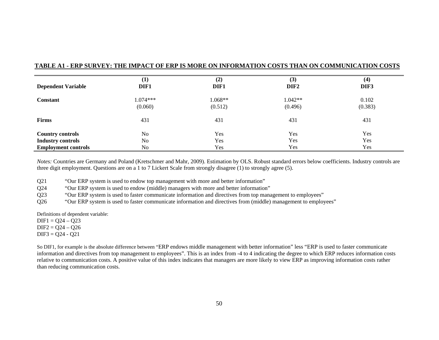|                            | (1)        | (2)     | (3)              | (4)     |
|----------------------------|------------|---------|------------------|---------|
| <b>Dependent Variable</b>  | DIF1       | DIF1    | DIF <sub>2</sub> | DIF3    |
| <b>Constant</b>            | $1.074***$ | 1.068** | $1.042**$        | 0.102   |
|                            | (0.060)    | (0.512) | (0.496)          | (0.383) |
| <b>Firms</b>               | 431        | 431     | 431              | 431     |
| <b>Country controls</b>    | No         | Yes     | Yes              | Yes     |
| <b>Industry controls</b>   | No         | Yes     | Yes              | Yes     |
| <b>Employment controls</b> | No         | Yes     | Yes              | Yes     |

#### **TABLE A1 - ERP SURVEY: THE IMPACT OF ERP IS MORE ON INFORMATION COSTS THAN ON COMMUNICATION COSTS**

*Notes:* Countries are Germany and Poland (Kretschmer and Mahr, 2009). Estimation by OLS. Robust standard errors below coefficients. Industry controls are three digit employment. Questions are on a 1 to 7 Lickert Scale from strongly disagree (1) to strongly agree (5).

Q21 "Our ERP system is used to endow top management with more and better information"

Q24 "Our ERP system is used to endow (middle) managers with more and better information"

Q23 "Our ERP system is used to faster communicate information and directives from top management to employees"

Q26 "Our ERP system is used to faster communicate information and directives from (middle) management to employees"

Definitions of dependent variable:

 $DIF1 = 024 - 023$ 

 $DIF2 = Q24 - Q26$ 

 $DIF3 = Q24 - Q21$ 

So DIF1, for example is the absolute difference between "ERP endows middle management with better information" less "ERP is used to faster communicate information and directives from top management to employees". This is an index from -4 to 4 indicating the degree to which ERP reduces information costs relative to communication costs. A positive value of this index indicates that managers are more likely to view ERP as improving information costs rather than reducing communication costs.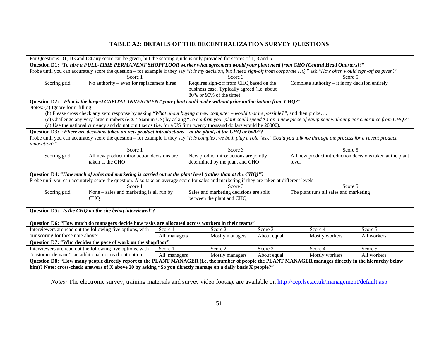# **TABLE A2: DETAILS OF THE DECENTRALIZATION SURVEY QUESTIONS**

| For Questions D1, D3 and D4 any score can be given, but the scoring guide is only provided for scores of 1, 3 and 5.                                    |                                                                                                                                                                                  |              |                                             |             |                                                                      |             |
|---------------------------------------------------------------------------------------------------------------------------------------------------------|----------------------------------------------------------------------------------------------------------------------------------------------------------------------------------|--------------|---------------------------------------------|-------------|----------------------------------------------------------------------|-------------|
| Question D1: "To hire a FULL-TIME PERMANENT SHOPFLOOR worker what agreement would your plant need from CHQ (Central Head Quarters)?"                    |                                                                                                                                                                                  |              |                                             |             |                                                                      |             |
|                                                                                                                                                         | Probe until you can accurately score the question – for example if they say "It is my decision, but I need sign-off from corporate HQ." ask "How often would sign-off be given?" |              |                                             |             |                                                                      |             |
|                                                                                                                                                         | Score 1                                                                                                                                                                          |              | Score 3                                     |             | Score 5                                                              |             |
| Scoring grid:                                                                                                                                           | No authority – even for replacement hires                                                                                                                                        |              | Requires sign-off from CHQ based on the     |             | Complete authority $-$ it is my decision entirely                    |             |
|                                                                                                                                                         |                                                                                                                                                                                  |              | business case. Typically agreed (i.e. about |             |                                                                      |             |
|                                                                                                                                                         |                                                                                                                                                                                  |              | 80% or 90% of the time).                    |             |                                                                      |             |
|                                                                                                                                                         | Question D2: "What is the largest CAPITAL INVESTMENT your plant could make without prior authorization from CHQ?"                                                                |              |                                             |             |                                                                      |             |
| Notes: (a) Ignore form-filling                                                                                                                          |                                                                                                                                                                                  |              |                                             |             |                                                                      |             |
|                                                                                                                                                         | (b) Please cross check any zero response by asking "What about buying a new computer – would that be possible?", and then probe                                                  |              |                                             |             |                                                                      |             |
|                                                                                                                                                         | (c) Challenge any very large numbers (e.g. $> $4$ m in US) by asking "To confirm your plant could spend \$X on a new piece of equipment without prior clearance from CHQ?"       |              |                                             |             |                                                                      |             |
|                                                                                                                                                         | (d) Use the national currency and do not omit zeros (i.e. for a US firm twenty thousand dollars would be 20000).                                                                 |              |                                             |             |                                                                      |             |
|                                                                                                                                                         | Question D3: "Where are decisions taken on new product introductions – at the plant, at the CHQ or both"?                                                                        |              |                                             |             |                                                                      |             |
| innovation?"                                                                                                                                            | Probe until you can accurately score the question – for example if they say "It is complex, we both play a role "ask "Could you talk me through the process for a recent product |              |                                             |             |                                                                      |             |
|                                                                                                                                                         | Score 1                                                                                                                                                                          |              | Score 3                                     |             |                                                                      |             |
| Scoring grid:                                                                                                                                           | All new product introduction decisions are                                                                                                                                       |              | New product introductions are jointly       |             | Score 5<br>All new product introduction decisions taken at the plant |             |
|                                                                                                                                                         |                                                                                                                                                                                  |              |                                             |             |                                                                      |             |
|                                                                                                                                                         | taken at the CHQ<br>determined by the plant and CHQ<br>level                                                                                                                     |              |                                             |             |                                                                      |             |
| Question D4: "How much of sales and marketing is carried out at the plant level (rather than at the CHQ)"?                                              |                                                                                                                                                                                  |              |                                             |             |                                                                      |             |
|                                                                                                                                                         | Probe until you can accurately score the question. Also take an average score for sales and marketing if they are taken at different levels.                                     |              |                                             |             |                                                                      |             |
|                                                                                                                                                         | Score 1                                                                                                                                                                          |              | Score 3                                     |             | Score 5                                                              |             |
| Scoring grid:                                                                                                                                           | None – sales and marketing is all run by                                                                                                                                         |              | Sales and marketing decisions are split     |             | The plant runs all sales and marketing                               |             |
|                                                                                                                                                         | between the plant and CHQ<br><b>CHQ</b>                                                                                                                                          |              |                                             |             |                                                                      |             |
|                                                                                                                                                         |                                                                                                                                                                                  |              |                                             |             |                                                                      |             |
| Question D5: "Is the CHQ on the site being interviewed"?                                                                                                |                                                                                                                                                                                  |              |                                             |             |                                                                      |             |
|                                                                                                                                                         |                                                                                                                                                                                  |              |                                             |             |                                                                      |             |
| Question D6: "How much do managers decide how tasks are allocated across workers in their teams"                                                        |                                                                                                                                                                                  |              |                                             |             |                                                                      |             |
|                                                                                                                                                         | Interviewers are read out the following five options, with                                                                                                                       | Score 1      | Score 2                                     | Score 3     | Score 4                                                              | Score 5     |
| our scoring for these note above:                                                                                                                       |                                                                                                                                                                                  | All managers | Mostly managers                             | About equal | Mostly workers                                                       | All workers |
| Question D7: "Who decides the pace of work on the shopfloor"                                                                                            |                                                                                                                                                                                  |              |                                             |             |                                                                      |             |
|                                                                                                                                                         | Interviewers are read out the following five options, with                                                                                                                       | Score 1      | Score 2                                     | Score 3     | Score 4                                                              | Score 5     |
| "customer demand" an additional not read-out option<br>About equal<br>Mostly workers<br>All workers<br>All managers<br>Mostly managers                  |                                                                                                                                                                                  |              |                                             |             |                                                                      |             |
| Question D8: "How many people directly report to the PLANT MANAGER (i.e. the number of people the PLANT MANAGER manages directly in the hierarchy below |                                                                                                                                                                                  |              |                                             |             |                                                                      |             |
| him)? Note: cross-check answers of X above 20 by asking "So you directly manage on a daily basis X people?"                                             |                                                                                                                                                                                  |              |                                             |             |                                                                      |             |

*Notes:* The electronic survey, training materials and survey video footage are available on http://cep.lse.ac.uk/management/default.asp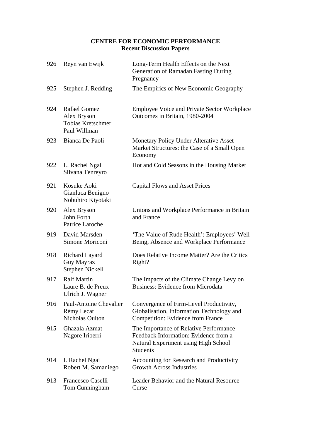# **CENTRE FOR ECONOMIC PERFORMANCE Recent Discussion Papers**

| 926 | Reyn van Ewijk                                                                 | Long-Term Health Effects on the Next<br>Generation of Ramadan Fasting During<br>Pregnancy                                                  |
|-----|--------------------------------------------------------------------------------|--------------------------------------------------------------------------------------------------------------------------------------------|
| 925 | Stephen J. Redding                                                             | The Empirics of New Economic Geography                                                                                                     |
| 924 | <b>Rafael Gomez</b><br>Alex Bryson<br><b>Tobias Kretschmer</b><br>Paul Willman | <b>Employee Voice and Private Sector Workplace</b><br>Outcomes in Britain, 1980-2004                                                       |
| 923 | Bianca De Paoli                                                                | Monetary Policy Under Alterative Asset<br>Market Structures: the Case of a Small Open<br>Economy                                           |
| 922 | L. Rachel Ngai<br>Silvana Tenreyro                                             | Hot and Cold Seasons in the Housing Market                                                                                                 |
| 921 | Kosuke Aoki<br>Gianluca Benigno<br>Nobuhiro Kiyotaki                           | <b>Capital Flows and Asset Prices</b>                                                                                                      |
| 920 | Alex Bryson<br>John Forth<br>Patrice Laroche                                   | Unions and Workplace Performance in Britain<br>and France                                                                                  |
| 919 | David Marsden<br>Simone Moriconi                                               | 'The Value of Rude Health': Employees' Well<br>Being, Absence and Workplace Performance                                                    |
| 918 | Richard Layard<br>Guy Mayraz<br>Stephen Nickell                                | Does Relative Income Matter? Are the Critics<br>Right?                                                                                     |
| 917 | <b>Ralf Martin</b><br>Laure B. de Preux<br>Ulrich J. Wagner                    | The Impacts of the Climate Change Levy on<br><b>Business: Evidence from Microdata</b>                                                      |
| 916 | <b>Paul-Antoine Chevalier</b><br>Rémy Lecat<br>Nicholas Oulton                 | Convergence of Firm-Level Productivity,<br>Globalisation, Information Technology and<br><b>Competition: Evidence from France</b>           |
| 915 | Ghazala Azmat<br>Nagore Iriberri                                               | The Importance of Relative Performance<br>Feedback Information: Evidence from a<br>Natural Experiment using High School<br><b>Students</b> |
| 914 | L Rachel Ngai<br>Robert M. Samaniego                                           | Accounting for Research and Productivity<br><b>Growth Across Industries</b>                                                                |
| 913 | Francesco Caselli<br>Tom Cunningham                                            | Leader Behavior and the Natural Resource<br>Curse                                                                                          |